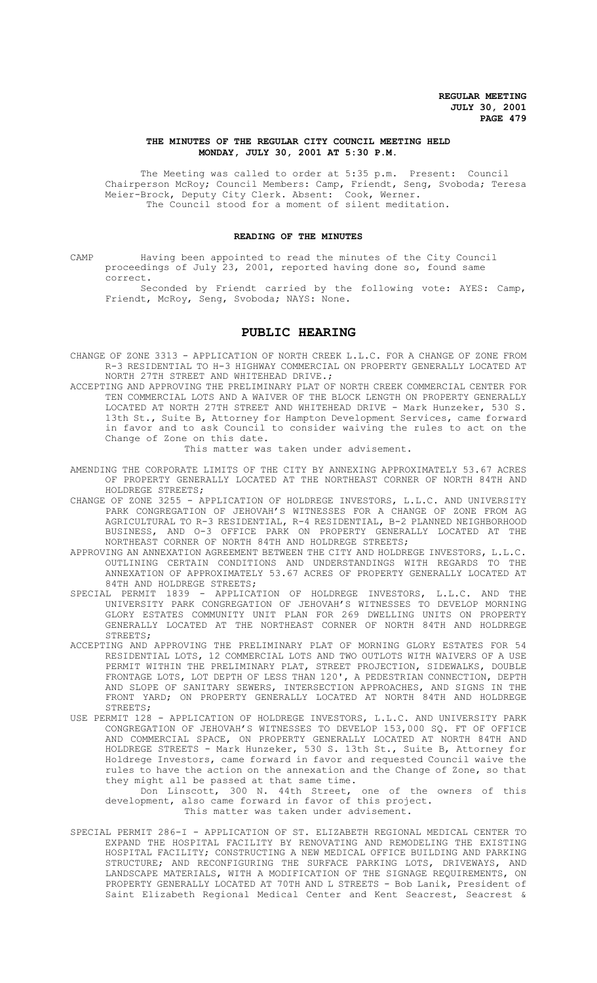## **THE MINUTES OF THE REGULAR CITY COUNCIL MEETING HELD MONDAY, JULY 30, 2001 AT 5:30 P.M.**

The Meeting was called to order at 5:35 p.m. Present: Council Chairperson McRoy; Council Members: Camp, Friendt, Seng, Svoboda; Teresa Meier-Brock, Deputy City Clerk. Absent: Cook, Werner. The Council stood for a moment of silent meditation.

## **READING OF THE MINUTES**

CAMP Having been appointed to read the minutes of the City Council proceedings of July 23, 2001, reported having done so, found same correct.

Seconded by Friendt carried by the following vote: AYES: Camp, Friendt, McRoy, Seng, Svoboda; NAYS: None.

# **PUBLIC HEARING**

CHANGE OF ZONE 3313 - APPLICATION OF NORTH CREEK L.L.C. FOR A CHANGE OF ZONE FROM R-3 RESIDENTIAL TO H-3 HIGHWAY COMMERCIAL ON PROPERTY GENERALLY LOCATED AT NORTH 27TH STREET AND WHITEHEAD DRIVE.;

ACCEPTING AND APPROVING THE PRELIMINARY PLAT OF NORTH CREEK COMMERCIAL CENTER FOR TEN COMMERCIAL LOTS AND A WAIVER OF THE BLOCK LENGTH ON PROPERTY GENERALLY LOCATED AT NORTH 27TH STREET AND WHITEHEAD DRIVE - Mark Hunzeker, 530 S. 13th St., Suite B, Attorney for Hampton Development Services, came forward in favor and to ask Council to consider waiving the rules to act on the Change of Zone on this date.

This matter was taken under advisement.

- AMENDING THE CORPORATE LIMITS OF THE CITY BY ANNEXING APPROXIMATELY 53.67 ACRES OF PROPERTY GENERALLY LOCATED AT THE NORTHEAST CORNER OF NORTH 84TH AND HOLDREGE STREETS;
- CHANGE OF ZONE 3255 APPLICATION OF HOLDREGE INVESTORS, L.L.C. AND UNIVERSITY PARK CONGREGATION OF JEHOVAH'S WITNESSES FOR A CHANGE OF ZONE FROM AG AGRICULTURAL TO R-3 RESIDENTIAL, R-4 RESIDENTIAL, B-2 PLANNED NEIGHBORHOOD BUSINESS, AND O-3 OFFICE PARK ON PROPERTY GENERALLY LOCATED AT THE NORTHEAST CORNER OF NORTH 84TH AND HOLDREGE STREETS;
- APPROVING AN ANNEXATION AGREEMENT BETWEEN THE CITY AND HOLDREGE INVESTORS, L.L.C. OUTLINING CERTAIN CONDITIONS AND UNDERSTANDINGS WITH REGARDS TO THE ANNEXATION OF APPROXIMATELY 53.67 ACRES OF PROPERTY GENERALLY LOCATED AT 84TH AND HOLDREGE STREETS;
- SPECIAL PERMIT 1839 APPLICATION OF HOLDREGE INVESTORS, L.L.C. AND THE UNIVERSITY PARK CONGREGATION OF JEHOVAH'S WITNESSES TO DEVELOP MORNING GLORY ESTATES COMMUNITY UNIT PLAN FOR 269 DWELLING UNITS ON PROPERTY GENERALLY LOCATED AT THE NORTHEAST CORNER OF NORTH 84TH AND HOLDREGE STREETS;
- ACCEPTING AND APPROVING THE PRELIMINARY PLAT OF MORNING GLORY ESTATES FOR 54 RESIDENTIAL LOTS, 12 COMMERCIAL LOTS AND TWO OUTLOTS WITH WAIVERS OF A USE PERMIT WITHIN THE PRELIMINARY PLAT, STREET PROJECTION, SIDEWALKS, DOUBLE FRONTAGE LOTS, LOT DEPTH OF LESS THAN 120', A PEDESTRIAN CONNECTION, DEPTH AND SLOPE OF SANITARY SEWERS, INTERSECTION APPROACHES, AND SIGNS IN THE FRONT YARD; ON PROPERTY GENERALLY LOCATED AT NORTH 84TH AND HOLDREGE STREETS;
- USE PERMIT 128 APPLICATION OF HOLDREGE INVESTORS, L.L.C. AND UNIVERSITY PARK CONGREGATION OF JEHOVAH'S WITNESSES TO DEVELOP 153,000 SQ. FT OF OFFICE AND COMMERCIAL SPACE, ON PROPERTY GENERALLY LOCATED AT NORTH 84TH AND HOLDREGE STREETS - Mark Hunzeker, 530 S. 13th St., Suite B, Attorney for Holdrege Investors, came forward in favor and requested Council waive the rules to have the action on the annexation and the Change of Zone, so that they might all be passed at that same time.

Don Linscott, 300 N. 44th Street, one of the owners of this development, also came forward in favor of this project. This matter was taken under advisement.

SPECIAL PERMIT 286-I - APPLICATION OF ST. ELIZABETH REGIONAL MEDICAL CENTER TO EXPAND THE HOSPITAL FACILITY BY RENOVATING AND REMODELING THE EXISTING HOSPITAL FACILITY; CONSTRUCTING A NEW MEDICAL OFFICE BUILDING AND PARKING STRUCTURE; AND RECONFIGURING THE SURFACE PARKING LOTS, DRIVEWAYS, AND LANDSCAPE MATERIALS, WITH A MODIFICATION OF THE SIGNAGE REQUIREMENTS, ON PROPERTY GENERALLY LOCATED AT 70TH AND L STREETS - Bob Lanik, President of Saint Elizabeth Regional Medical Center and Kent Seacrest, Seacrest &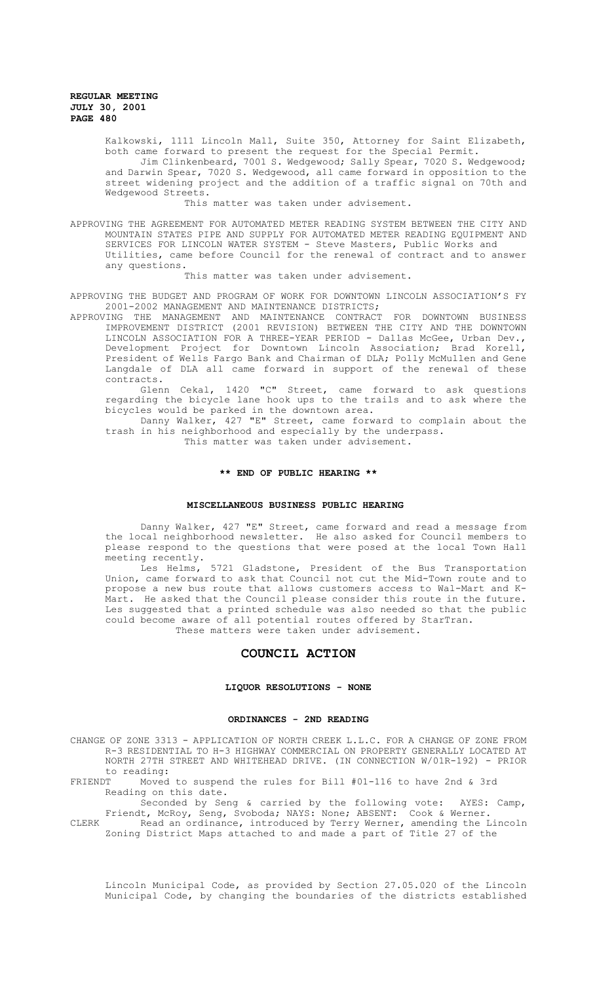Kalkowski, 1111 Lincoln Mall, Suite 350, Attorney for Saint Elizabeth, both came forward to present the request for the Special Permit. Jim Clinkenbeard, 7001 S. Wedgewood; Sally Spear, 7020 S. Wedgewood; and Darwin Spear, 7020 S. Wedgewood, all came forward in opposition to the street widening project and the addition of a traffic signal on 70th and Wedgewood Streets.

This matter was taken under advisement.

APPROVING THE AGREEMENT FOR AUTOMATED METER READING SYSTEM BETWEEN THE CITY AND MOUNTAIN STATES PIPE AND SUPPLY FOR AUTOMATED METER READING EQUIPMENT AND SERVICES FOR LINCOLN WATER SYSTEM - Steve Masters, Public Works and Utilities, came before Council for the renewal of contract and to answer any questions.

This matter was taken under advisement.

APPROVING THE BUDGET AND PROGRAM OF WORK FOR DOWNTOWN LINCOLN ASSOCIATION'S FY 2001-2002 MANAGEMENT AND MAINTENANCE DISTRICTS;

APPROVING THE MANAGEMENT AND MAINTENANCE CONTRACT FOR DOWNTOWN BUSINESS IMPROVEMENT DISTRICT (2001 REVISION) BETWEEN THE CITY AND THE DOWNTOWN LINCOLN ASSOCIATION FOR A THREE-YEAR PERIOD - Dallas McGee, Urban Dev., Development Project for Downtown Lincoln Association; Brad Korell, President of Wells Fargo Bank and Chairman of DLA; Polly McMullen and Gene Langdale of DLA all came forward in support of the renewal of these contracts.

Glenn Cekal, 1420 "C" Street, came forward to ask questions regarding the bicycle lane hook ups to the trails and to ask where the bicycles would be parked in the downtown area.

Danny Walker, 427 "E" Street, came forward to complain about the trash in his neighborhood and especially by the underpass. This matter was taken under advisement.

## **\*\* END OF PUBLIC HEARING \*\***

#### **MISCELLANEOUS BUSINESS PUBLIC HEARING**

Danny Walker, 427 "E" Street, came forward and read a message from the local neighborhood newsletter. He also asked for Council members to please respond to the questions that were posed at the local Town Hall meeting recently.

Les Helms, 5721 Gladstone, President of the Bus Transportation Union, came forward to ask that Council not cut the Mid-Town route and to propose a new bus route that allows customers access to Wal-Mart and K-Mart. He asked that the Council please consider this route in the future. Les suggested that a printed schedule was also needed so that the public could become aware of all potential routes offered by StarTran. These matters were taken under advisement.

## **COUNCIL ACTION**

#### **LIQUOR RESOLUTIONS - NONE**

### **ORDINANCES - 2ND READING**

CHANGE OF ZONE 3313 - APPLICATION OF NORTH CREEK L.L.C. FOR A CHANGE OF ZONE FROM R-3 RESIDENTIAL TO H-3 HIGHWAY COMMERCIAL ON PROPERTY GENERALLY LOCATED AT NORTH 27TH STREET AND WHITEHEAD DRIVE. (IN CONNECTION W/01R-192) - PRIOR to reading:<br>FRIENDT Moved

Moved to suspend the rules for Bill  $#01-116$  to have 2nd & 3rd Reading on this date.

Seconded by Seng & carried by the following vote: AYES: Camp, Friendt, McRoy, Seng, Svoboda; NAYS: None; ABSENT: Cook & Werner.

CLERK Read an ordinance, introduced by Terry Werner, amending the Lincoln Zoning District Maps attached to and made a part of Title 27 of the

Lincoln Municipal Code, as provided by Section 27.05.020 of the Lincoln Municipal Code, by changing the boundaries of the districts established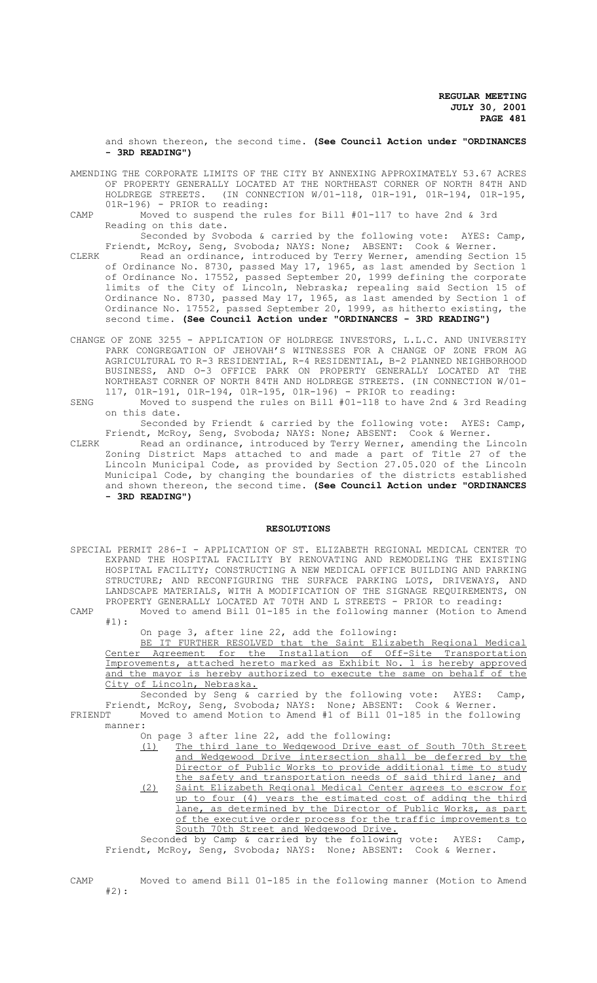and shown thereon, the second time. **(See Council Action under "ORDINANCES - 3RD READING")**

- AMENDING THE CORPORATE LIMITS OF THE CITY BY ANNEXING APPROXIMATELY 53.67 ACRES OF PROPERTY GENERALLY LOCATED AT THE NORTHEAST CORNER OF NORTH 84TH AND HOLDREGE STREETS. (IN CONNECTION W/01-118, 01R-191, 01R-194, 01R-195, 01R-196) - PRIOR to reading:
- CAMP Moved to suspend the rules for Bill #01-117 to have 2nd & 3rd Reading on this date.

Seconded by Svoboda & carried by the following vote: AYES: Camp, Friendt, McRoy, Seng, Svoboda; NAYS: None; ABSENT: Cook & Werner.

- CLERK Read an ordinance, introduced by Terry Werner, amending Section 15 of Ordinance No. 8730, passed May 17, 1965, as last amended by Section 1 of Ordinance No. 17552, passed September 20, 1999 defining the corporate limits of the City of Lincoln, Nebraska; repealing said Section 15 of Ordinance No. 8730, passed May 17, 1965, as last amended by Section 1 of Ordinance No. 17552, passed September 20, 1999, as hitherto existing, the second time. **(See Council Action under "ORDINANCES - 3RD READING")**
- CHANGE OF ZONE 3255 APPLICATION OF HOLDREGE INVESTORS, L.L.C. AND UNIVERSITY PARK CONGREGATION OF JEHOVAH'S WITNESSES FOR A CHANGE OF ZONE FROM AG AGRICULTURAL TO R-3 RESIDENTIAL, R-4 RESIDENTIAL, B-2 PLANNED NEIGHBORHOOD BUSINESS, AND O-3 OFFICE PARK ON PROPERTY GENERALLY LOCATED AT THE NORTHEAST CORNER OF NORTH 84TH AND HOLDREGE STREETS. (IN CONNECTION W/01- 117, 01R-191, 01R-194, 01R-195, 01R-196) - PRIOR to reading:
- SENG Moved to suspend the rules on Bill #01-118 to have 2nd & 3rd Reading on this date.

Seconded by Friendt & carried by the following vote: AYES: Camp, Friendt, McRoy, Seng, Svoboda; NAYS: None; ABSENT: Cook & Werner.

CLERK Read an ordinance, introduced by Terry Werner, amending the Lincoln Zoning District Maps attached to and made a part of Title 27 of the Lincoln Municipal Code, as provided by Section 27.05.020 of the Lincoln Municipal Code, by changing the boundaries of the districts established and shown thereon, the second time. **(See Council Action under "ORDINANCES - 3RD READING")**

#### **RESOLUTIONS**

- SPECIAL PERMIT 286-I APPLICATION OF ST. ELIZABETH REGIONAL MEDICAL CENTER TO EXPAND THE HOSPITAL FACILITY BY RENOVATING AND REMODELING THE EXISTING HOSPITAL FACILITY; CONSTRUCTING A NEW MEDICAL OFFICE BUILDING AND PARKING STRUCTURE; AND RECONFIGURING THE SURFACE PARKING LOTS, DRIVEWAYS, AND LANDSCAPE MATERIALS, WITH A MODIFICATION OF THE SIGNAGE REQUIREMENTS, ON PROPERTY GENERALLY LOCATED AT 70TH AND L STREETS - PRIOR to reading: CAMP Moved to amend Bill 01-185 in the following manner (Motion to Amend
- 

#1):

On page 3, after line 22, add the following:

BE IT FURTHER RESOLVED that the Saint Elizabeth Regional Medical Center Agreement for the Installation of Off-Site Transportation Improvements, attached hereto marked as Exhibit No. 1 is hereby approved and the mayor is hereby authorized to execute the same on behalf of the City of Lincoln, Nebraska.

Seconded by Seng & carried by the following vote: AYES: Camp, Friendt, McRoy, Seng, Svoboda; NAYS: None; ABSENT: Cook & Werner. FRIENDT Moved to amend Motion to Amend #1 of Bill 01-185 in the following manner:

On page 3 after line 22, add the following:

(1) The third lane to Wedgewood Drive east of South 70th Street and Wedgewood Drive intersection shall be deferred by the Director of Public Works to provide additional time to study the safety and transportation needs of said third lane; and (2) Saint Elizabeth Regional Medical Center agrees to escrow for

up to four (4) years the estimated cost of adding the third lane, as determined by the Director of Public Works, as part of the executive order process for the traffic improvements to South 70th Street and Wedgewood Drive.

Seconded by Camp & carried by the following vote: AYES: Camp, Friendt, McRoy, Seng, Svoboda; NAYS: None; ABSENT: Cook & Werner.

CAMP Moved to amend Bill 01-185 in the following manner (Motion to Amend #2):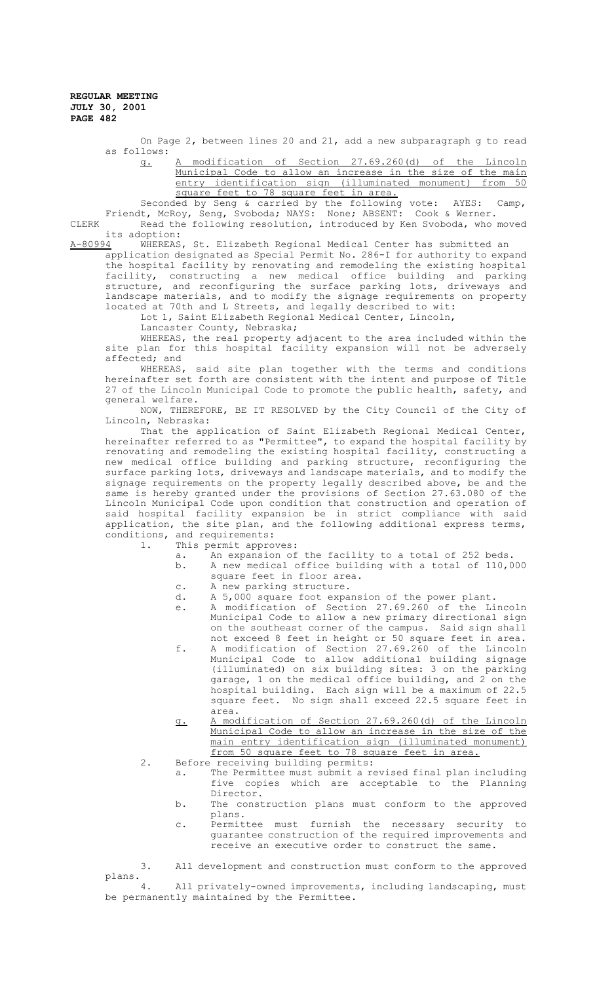> On Page 2, between lines 20 and 21, add a new subparagraph g to read as follows:

g. A modification of Section 27.69.260(d) of the Lincoln Municipal Code to allow an increase in the size of the main entry identification sign (illuminated monument) from 50 square feet to 78 square feet in area.

Seconded by Seng & carried by the following vote: AYES: Camp, Friendt, McRoy, Seng, Svoboda; NAYS: None; ABSENT: Cook & Werner.

CLERK Read the following resolution, introduced by Ken Svoboda, who moved its adoption:

A-80994 WHEREAS, St. Elizabeth Regional Medical Center has submitted an

application designated as Special Permit No. 286-I for authority to expand the hospital facility by renovating and remodeling the existing hospital facility, constructing a new medical office building and parking structure, and reconfiguring the surface parking lots, driveways and landscape materials, and to modify the signage requirements on property located at 70th and L Streets, and legally described to wit:

Lot 1, Saint Elizabeth Regional Medical Center, Lincoln,

Lancaster County, Nebraska;

WHEREAS, the real property adjacent to the area included within the site plan for this hospital facility expansion will not be adversely affected; and

WHEREAS, said site plan together with the terms and conditions hereinafter set forth are consistent with the intent and purpose of Title 27 of the Lincoln Municipal Code to promote the public health, safety, and general welfare.

NOW, THEREFORE, BE IT RESOLVED by the City Council of the City of Lincoln, Nebraska:

That the application of Saint Elizabeth Regional Medical Center, hereinafter referred to as "Permittee", to expand the hospital facility by renovating and remodeling the existing hospital facility, constructing a new medical office building and parking structure, reconfiguring the surface parking lots, driveways and landscape materials, and to modify the signage requirements on the property legally described above, be and the same is hereby granted under the provisions of Section 27.63.080 of the Lincoln Municipal Code upon condition that construction and operation of said hospital facility expansion be in strict compliance with said application, the site plan, and the following additional express terms, conditions, and requirements:

1. This permit approves:

- a. An expansion of the facility to a total of 252 beds.
- b. A new medical office building with a total of 110,000
- square feet in floor area.
- c. A new parking structure.<br>d. A 5.000 square foot expa d. A 5,000 square foot expansion of the power plant.
- e. A modification of Section 27.69.260 of the Lincoln Municipal Code to allow a new primary directional sign on the southeast corner of the campus. Said sign shall not exceed 8 feet in height or 50 square feet in area.
- f. A modification of Section 27.69.260 of the Lincoln Municipal Code to allow additional building signage (illuminated) on six building sites: 3 on the parking garage, 1 on the medical office building, and 2 on the hospital building. Each sign will be a maximum of 22.5 square feet. No sign shall exceed 22.5 square feet in area.
- g. A modification of Section 27.69.260(d) of the Lincoln Municipal Code to allow an increase in the size of the main entry identification sign (illuminated monument) from 50 square feet to 78 square feet in area.
- 2. Before receiving building permits:
	- a. The Permittee must submit a revised final plan including five copies which are acceptable to the Planning Director.
	- b. The construction plans must conform to the approved plans.
	- c. Permittee must furnish the necessary security to guarantee construction of the required improvements and receive an executive order to construct the same.

3. All development and construction must conform to the approved plans.

All privately-owned improvements, including landscaping, must be permanently maintained by the Permittee.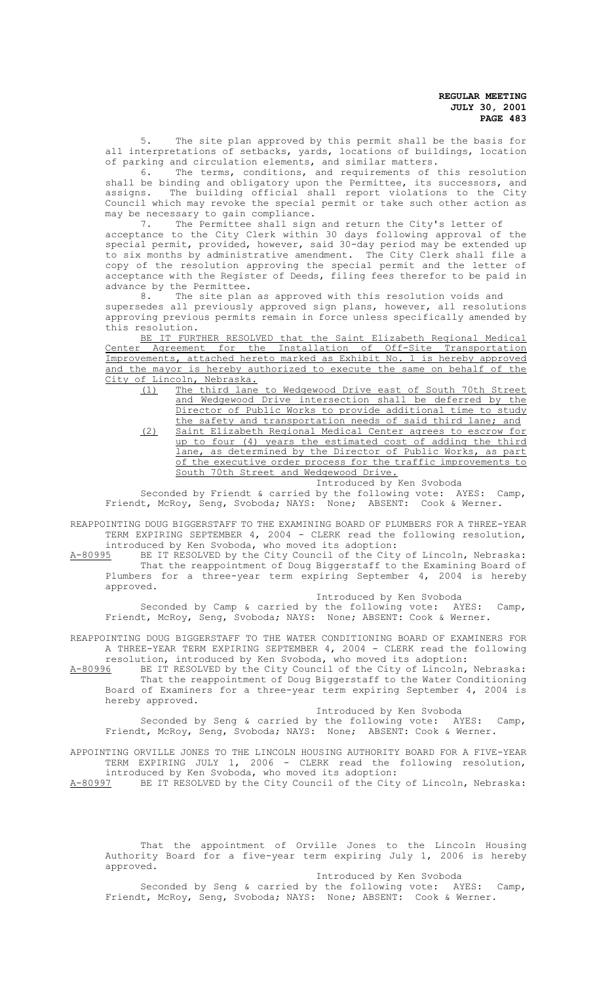5. The site plan approved by this permit shall be the basis for all interpretations of setbacks, yards, locations of buildings, location of parking and circulation elements, and similar matters.<br>6 The terms, conditions, and requirements of

The terms, conditions, and requirements of this resolution shall be binding and obligatory upon the Permittee, its successors, and assigns. The building official shall report violations to the City Council which may revoke the special permit or take such other action as may be necessary to gain compliance.

7. The Permittee shall sign and return the City's letter of acceptance to the City Clerk within 30 days following approval of the special permit, provided, however, said 30-day period may be extended up to six months by administrative amendment. The City Clerk shall file a copy of the resolution approving the special permit and the letter of acceptance with the Register of Deeds, filing fees therefor to be paid in advance by the Permittee.<br>8 The site plan

The site plan as approved with this resolution voids and supersedes all previously approved sign plans, however, all resolutions approving previous permits remain in force unless specifically amended by this resolution.

BE IT FURTHER RESOLVED that the Saint Elizabeth Regional Medical Center Agreement for the Installation of Off-Site Transportation Improvements, attached hereto marked as Exhibit No. 1 is hereby approved and the mayor is hereby authorized to execute the same on behalf of the

City of Lincoln, Nebraska.<br>(1) The third lane The third lane to Wedgewood Drive east of South 70th Street and Wedgewood Drive intersection shall be deferred by the Director of Public Works to provide additional time to study the safety and transportation needs of said third lane; and (2) Saint Elizabeth Regional Medical Center agrees to escrow for up to four (4) years the estimated cost of adding the third

lane, as determined by the Director of Public Works, as part of the executive order process for the traffic improvements to South 70th Street and Wedgewood Drive.

Introduced by Ken Svoboda

Seconded by Friendt & carried by the following vote: AYES: Camp, Friendt, McRoy, Seng, Svoboda; NAYS: None; ABSENT: Cook & Werner.

REAPPOINTING DOUG BIGGERSTAFF TO THE EXAMINING BOARD OF PLUMBERS FOR A THREE-YEAR TERM EXPIRING SEPTEMBER 4, 2004 - CLERK read the following resolution, introduced by Ken Svoboda, who moved its adoption:

A-80995 BE IT RESOLVED by the City Council of the City of Lincoln, Nebraska: That the reappointment of Doug Biggerstaff to the Examining Board of Plumbers for a three-year term expiring September 4, 2004 is hereby approved.

Introduced by Ken Svoboda

Seconded by Camp & carried by the following vote: AYES: Camp, Friendt, McRoy, Seng, Svoboda; NAYS: None; ABSENT: Cook & Werner.

REAPPOINTING DOUG BIGGERSTAFF TO THE WATER CONDITIONING BOARD OF EXAMINERS FOR A THREE-YEAR TERM EXPIRING SEPTEMBER 4, 2004 - CLERK read the following

resolution, introduced by Ken Svoboda, who moved its adoption:<br>A-80996 BE IT RESOLVED by the City Council of the City of Lincoln, A-80996 BE IT RESOLVED by the City Council of the City of Lincoln, Nebraska: That the reappointment of Doug Biggerstaff to the Water Conditioning Board of Examiners for a three-year term expiring September 4, 2004 is hereby approved.

Introduced by Ken Svoboda

Seconded by Seng & carried by the following vote: AYES: Camp, Friendt, McRoy, Seng, Svoboda; NAYS: None; ABSENT: Cook & Werner.

APPOINTING ORVILLE JONES TO THE LINCOLN HOUSING AUTHORITY BOARD FOR A FIVE-YEAR TERM EXPIRING JULY 1, 2006 - CLERK read the following resolution, introduced by Ken Svoboda, who moved its adoption:<br>A-80997 BE IT RESOLVED by the City Council of the City

BE IT RESOLVED by the City Council of the City of Lincoln, Nebraska:

That the appointment of Orville Jones to the Lincoln Housing Authority Board for a five-year term expiring July 1, 2006 is hereby approved.

Introduced by Ken Svoboda

Seconded by Seng & carried by the following vote: AYES: Camp, Friendt, McRoy, Seng, Svoboda; NAYS: None; ABSENT: Cook & Werner.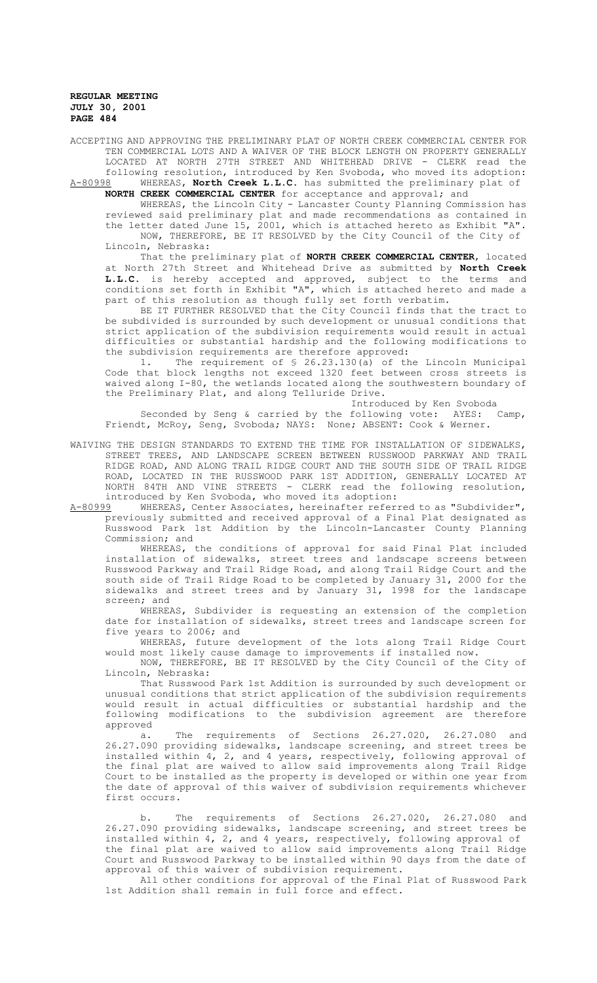ACCEPTING AND APPROVING THE PRELIMINARY PLAT OF NORTH CREEK COMMERCIAL CENTER FOR TEN COMMERCIAL LOTS AND A WAIVER OF THE BLOCK LENGTH ON PROPERTY GENERALLY LOCATED AT NORTH 27TH STREET AND WHITEHEAD DRIVE - CLERK read the following resolution, introduced by Ken Svoboda, who moved its adoption: A-80998 WHEREAS, **North Creek L.L.C.** has submitted the preliminary plat of **NORTH CREEK COMMERCIAL CENTER** for acceptance and approval; and

WHEREAS, the Lincoln City - Lancaster County Planning Commission has reviewed said preliminary plat and made recommendations as contained in the letter dated June 15, 2001, which is attached hereto as Exhibit "A". NOW, THEREFORE, BE IT RESOLVED by the City Council of the City of Lincoln, Nebraska:

That the preliminary plat of **NORTH CREEK COMMERCIAL CENTER**, located at North 27th Street and Whitehead Drive as submitted by **North Creek L.L.C.** is hereby accepted and approved, subject to the terms and conditions set forth in Exhibit "A", which is attached hereto and made a part of this resolution as though fully set forth verbatim.

BE IT FURTHER RESOLVED that the City Council finds that the tract to be subdivided is surrounded by such development or unusual conditions that strict application of the subdivision requirements would result in actual difficulties or substantial hardship and the following modifications to the subdivision requirements are therefore approved:

1. The requirement of § 26.23.130(a) of the Lincoln Municipal Code that block lengths not exceed 1320 feet between cross streets is waived along I-80, the wetlands located along the southwestern boundary of the Preliminary Plat, and along Telluride Drive.

Introduced by Ken Svoboda

Seconded by Seng & carried by the following vote: AYES: Camp, Friendt, McRoy, Seng, Svoboda; NAYS: None; ABSENT: Cook & Werner.

WAIVING THE DESIGN STANDARDS TO EXTEND THE TIME FOR INSTALLATION OF SIDEWALKS, STREET TREES, AND LANDSCAPE SCREEN BETWEEN RUSSWOOD PARKWAY AND TRAIL RIDGE ROAD, AND ALONG TRAIL RIDGE COURT AND THE SOUTH SIDE OF TRAIL RIDGE ROAD, LOCATED IN THE RUSSWOOD PARK 1ST ADDITION, GENERALLY LOCATED AT NORTH 84TH AND VINE STREETS - CLERK read the following resolution, introduced by Ken Svoboda, who moved its adoption:<br>A-80999 WHEREAS, Center Associates, hereinafter referi

WHEREAS, Center Associates, hereinafter referred to as "Subdivider", previously submitted and received approval of a Final Plat designated as Russwood Park 1st Addition by the Lincoln-Lancaster County Planning Commission; and

WHEREAS, the conditions of approval for said Final Plat included installation of sidewalks, street trees and landscape screens between Russwood Parkway and Trail Ridge Road, and along Trail Ridge Court and the south side of Trail Ridge Road to be completed by January 31, 2000 for the sidewalks and street trees and by January 31, 1998 for the landscape screen; and

WHEREAS, Subdivider is requesting an extension of the completion date for installation of sidewalks, street trees and landscape screen for five years to 2006; and

WHEREAS, future development of the lots along Trail Ridge Court would most likely cause damage to improvements if installed now.

NOW, THEREFORE, BE IT RESOLVED by the City Council of the City of Lincoln, Nebraska:

That Russwood Park 1st Addition is surrounded by such development or unusual conditions that strict application of the subdivision requirements would result in actual difficulties or substantial hardship and the<br>following modifications to the subdivision agreement are therefore following modifications to the subdivision agreement are approved

a. The requirements of Sections 26.27.020, 26.27.080 and 26.27.090 providing sidewalks, landscape screening, and street trees be installed within 4, 2, and 4 years, respectively, following approval of the final plat are waived to allow said improvements along Trail Ridge Court to be installed as the property is developed or within one year from the date of approval of this waiver of subdivision requirements whichever first occurs.

b. The requirements of Sections 26.27.020, 26.27.080 and 26.27.090 providing sidewalks, landscape screening, and street trees be installed within 4, 2, and 4 years, respectively, following approval of the final plat are waived to allow said improvements along Trail Ridge Court and Russwood Parkway to be installed within 90 days from the date of approval of this waiver of subdivision requirement.

All other conditions for approval of the Final Plat of Russwood Park 1st Addition shall remain in full force and effect.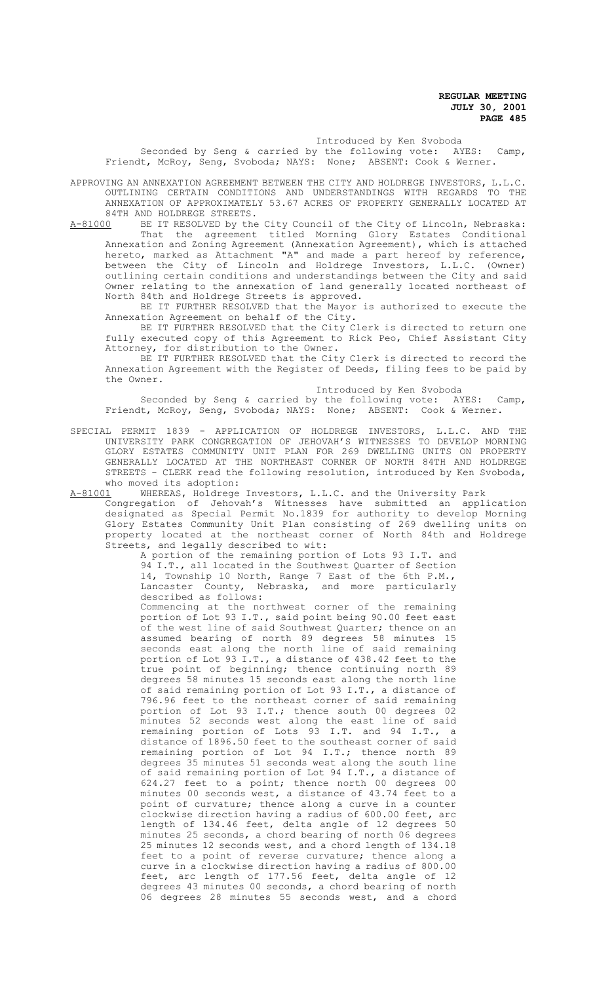# Introduced by Ken Svoboda

Seconded by Seng & carried by the following vote: AYES: Camp, Friendt, McRoy, Seng, Svoboda; NAYS: None; ABSENT: Cook & Werner.

APPROVING AN ANNEXATION AGREEMENT BETWEEN THE CITY AND HOLDREGE INVESTORS, L.L.C. OUTLINING CERTAIN CONDITIONS AND UNDERSTANDINGS WITH REGARDS TO THE ANNEXATION OF APPROXIMATELY 53.67 ACRES OF PROPERTY GENERALLY LOCATED AT

84TH AND HOLDREGE STREETS.<br>A-81000 BE IT RESOLVED by the A-81000 BE IT RESOLVED by the City Council of the City of Lincoln, Nebraska: That the agreement titled Morning Glory Estates Conditional Annexation and Zoning Agreement (Annexation Agreement), which is attached hereto, marked as Attachment "A" and made a part hereof by reference, between the City of Lincoln and Holdrege Investors, L.L.C. (Owner) outlining certain conditions and understandings between the City and said Owner relating to the annexation of land generally located northeast of North 84th and Holdrege Streets is approved.

BE IT FURTHER RESOLVED that the Mayor is authorized to execute the Annexation Agreement on behalf of the City.

BE IT FURTHER RESOLVED that the City Clerk is directed to return one fully executed copy of this Agreement to Rick Peo, Chief Assistant City Attorney, for distribution to the Owner.

BE IT FURTHER RESOLVED that the City Clerk is directed to record the Annexation Agreement with the Register of Deeds, filing fees to be paid by the Owner.

#### Introduced by Ken Svoboda

Seconded by Seng & carried by the following vote: AYES: Camp, Friendt, McRoy, Seng, Svoboda; NAYS: None; ABSENT: Cook & Werner.

SPECIAL PERMIT 1839 - APPLICATION OF HOLDREGE INVESTORS, L.L.C. AND THE UNIVERSITY PARK CONGREGATION OF JEHOVAH'S WITNESSES TO DEVELOP MORNING GLORY ESTATES COMMUNITY UNIT PLAN FOR 269 DWELLING UNITS ON PROPERTY GENERALLY LOCATED AT THE NORTHEAST CORNER OF NORTH 84TH AND HOLDREGE STREETS - CLERK read the following resolution, introduced by Ken Svoboda, who moved its adoption:<br>A-81001 WHEREAS, Holdrege

WHEREAS, Holdrege Investors, L.L.C. and the University Park

Congregation of Jehovah's Witnesses have submitted an application designated as Special Permit No.1839 for authority to develop Morning Glory Estates Community Unit Plan consisting of 269 dwelling units on property located at the northeast corner of North 84th and Holdrege Streets, and legally described to wit:

A portion of the remaining portion of Lots 93 I.T. and 94 I.T., all located in the Southwest Quarter of Section 14, Township 10 North, Range 7 East of the 6th P.M., Lancaster County, Nebraska, and more particularly described as follows:

Commencing at the northwest corner of the remaining portion of Lot 93 I.T., said point being 90.00 feet east of the west line of said Southwest Quarter; thence on an assumed bearing of north 89 degrees 58 minutes 15 seconds east along the north line of said remaining portion of Lot 93 I.T., a distance of 438.42 feet to the true point of beginning; thence continuing north 89 degrees 58 minutes 15 seconds east along the north line of said remaining portion of Lot 93 I.T., a distance of 796.96 feet to the northeast corner of said remaining portion of Lot 93 I.T.; thence south 00 degrees 02 minutes 52 seconds west along the east line of said remaining portion of Lots 93 I.T. and 94 I.T., a distance of 1896.50 feet to the southeast corner of said remaining portion of Lot 94 I.T.; thence north 89 degrees 35 minutes 51 seconds west along the south line of said remaining portion of Lot 94 I.T., a distance of 624.27 feet to a point; thence north 00 degrees 00 minutes 00 seconds west, a distance of 43.74 feet to a point of curvature; thence along a curve in a counter clockwise direction having a radius of 600.00 feet, arc length of 134.46 feet, delta angle of 12 degrees 50 minutes 25 seconds, a chord bearing of north 06 degrees 25 minutes 12 seconds west, and a chord length of 134.18 feet to a point of reverse curvature; thence along a curve in a clockwise direction having a radius of 800.00 feet, arc length of 177.56 feet, delta angle of 12 degrees 43 minutes 00 seconds, a chord bearing of north 06 degrees 28 minutes 55 seconds west, and a chord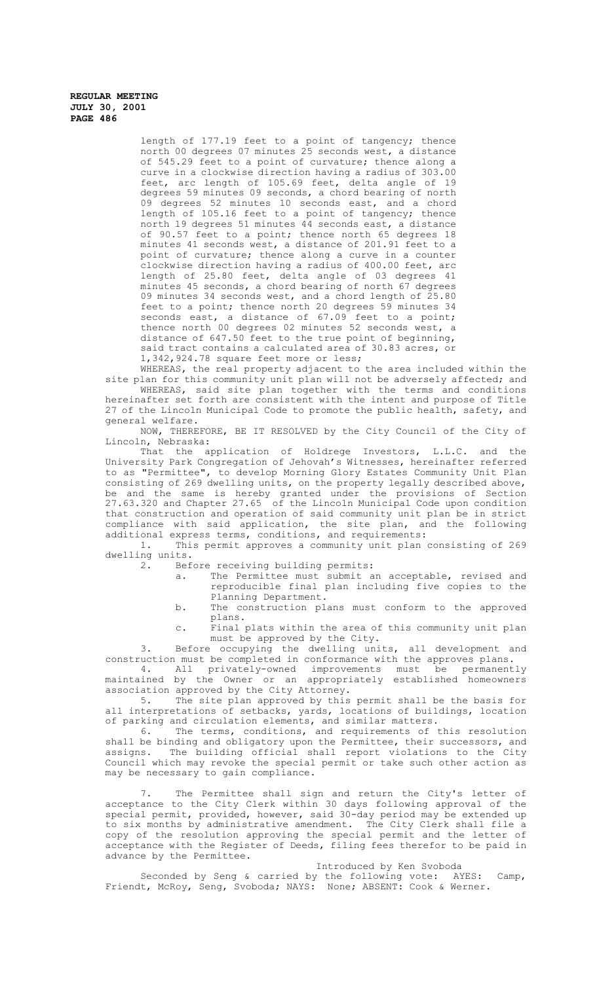> length of 177.19 feet to a point of tangency; thence north 00 degrees 07 minutes 25 seconds west, a distance of 545.29 feet to a point of curvature; thence along a curve in a clockwise direction having a radius of 303.00 feet, arc length of 105.69 feet, delta angle of 19 degrees 59 minutes 09 seconds, a chord bearing of north 09 degrees 52 minutes 10 seconds east, and a chord length of 105.16 feet to a point of tangency; thence north 19 degrees 51 minutes 44 seconds east, a distance of 90.57 feet to a point; thence north 65 degrees 18 minutes 41 seconds west, a distance of 201.91 feet to a point of curvature; thence along a curve in a counter clockwise direction having a radius of 400.00 feet, arc length of 25.80 feet, delta angle of 03 degrees 41 minutes 45 seconds, a chord bearing of north 67 degrees 09 minutes 34 seconds west, and a chord length of 25.80 feet to a point; thence north 20 degrees 59 minutes 34 seconds east, a distance of 67.09 feet to a point; thence north 00 degrees 02 minutes 52 seconds west, a distance of 647.50 feet to the true point of beginning, said tract contains a calculated area of 30.83 acres, or 1,342,924.78 square feet more or less;

WHEREAS, the real property adjacent to the area included within the site plan for this community unit plan will not be adversely affected; and WHEREAS, said site plan together with the terms and conditions hereinafter set forth are consistent with the intent and purpose of Title 27 of the Lincoln Municipal Code to promote the public health, safety, and general welfare.

NOW, THEREFORE, BE IT RESOLVED by the City Council of the City of Lincoln, Nebraska:

That the application of Holdrege Investors, L.L.C. and the University Park Congregation of Jehovah's Witnesses, hereinafter referred to as "Permittee", to develop Morning Glory Estates Community Unit Plan consisting of 269 dwelling units, on the property legally described above, be and the same is hereby granted under the provisions of Section 27.63.320 and Chapter 27.65 of the Lincoln Municipal Code upon condition that construction and operation of said community unit plan be in strict compliance with said application, the site plan, and the following additional express terms, conditions, and requirements:

1. This permit approves a community unit plan consisting of 269 dwelling units.<br>2. Bef

- Before receiving building permits:<br>a. The Permittee must submit a
	- The Permittee must submit an acceptable, revised and reproducible final plan including five copies to the Planning Department.
	- b. The construction plans must conform to the approved plans.
	- c. Final plats within the area of this community unit plan must be approved by the City.

3. Before occupying the dwelling units, all development and construction must be completed in conformance with the approves plans.

4. All privately-owned improvements must be permanently maintained by the Owner or an appropriately established homeowners association approved by the City Attorney.

5. The site plan approved by this permit shall be the basis for all interpretations of setbacks, yards, locations of buildings, location of parking and circulation elements, and similar matters.<br>6. The terms, conditions, and requirements of t

The terms, conditions, and requirements of this resolution shall be binding and obligatory upon the Permittee, their successors, and assigns. The building official shall report violations to the City Council which may revoke the special permit or take such other action as may be necessary to gain compliance.

7. The Permittee shall sign and return the City's letter of acceptance to the City Clerk within 30 days following approval of the special permit, provided, however, said 30-day period may be extended up to six months by administrative amendment. The City Clerk shall file a copy of the resolution approving the special permit and the letter of acceptance with the Register of Deeds, filing fees therefor to be paid in advance by the Permittee.

Introduced by Ken Svoboda

Seconded by Seng & carried by the following vote: AYES: Camp, Friendt, McRoy, Seng, Svoboda; NAYS: None; ABSENT: Cook & Werner.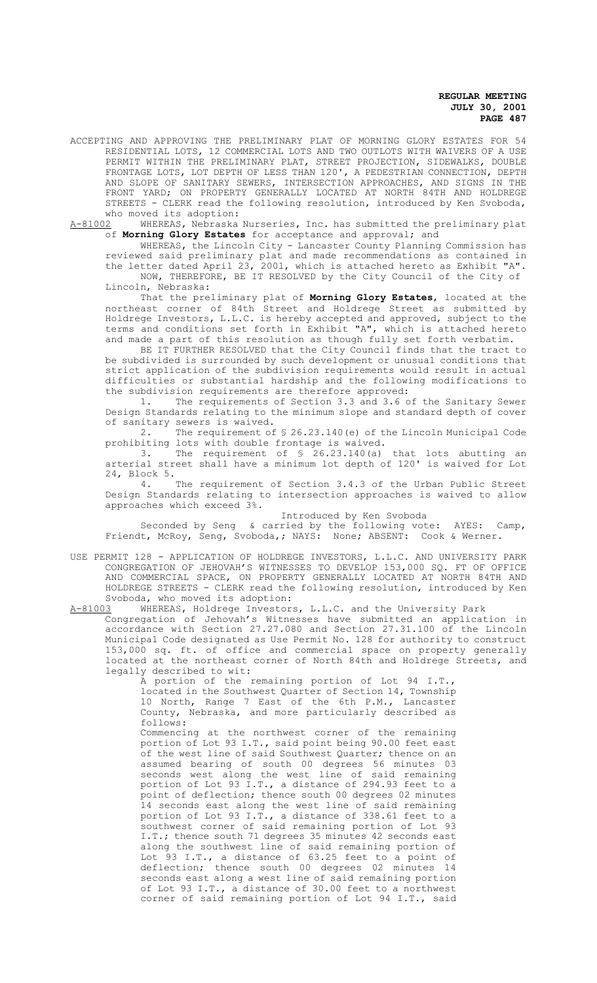ACCEPTING AND APPROVING THE PRELIMINARY PLAT OF MORNING GLORY ESTATES FOR 54 RESIDENTIAL LOTS, 12 COMMERCIAL LOTS AND TWO OUTLOTS WITH WAIVERS OF A USE PERMIT WITHIN THE PRELIMINARY PLAT, STREET PROJECTION, SIDEWALKS, DOUBLE FRONTAGE LOTS, LOT DEPTH OF LESS THAN 120', A PEDESTRIAN CONNECTION, DEPTH AND SLOPE OF SANITARY SEWERS, INTERSECTION APPROACHES, AND SIGNS IN THE FRONT YARD; ON PROPERTY GENERALLY LOCATED AT NORTH 84TH AND HOLDREGE STREETS - CLERK read the following resolution, introduced by Ken Svoboda, who moved its adoption:<br>A-81002 WHEREAS, Nebraska

WHEREAS, Nebraska Nurseries, Inc. has submitted the preliminary plat of **Morning Glory Estates** for acceptance and approval; and

WHEREAS, the Lincoln City - Lancaster County Planning Commission has reviewed said preliminary plat and made recommendations as contained in the letter dated April 23, 2001, which is attached hereto as Exhibit "A". NOW, THEREFORE, BE IT RESOLVED by the City Council of the City of

Lincoln, Nebraska:

That the preliminary plat of **Morning Glory Estates**, located at the northeast corner of 84th Street and Holdrege Street as submitted by Holdrege Investors, L.L.C. is hereby accepted and approved, subject to the terms and conditions set forth in Exhibit "A", which is attached hereto and made a part of this resolution as though fully set forth verbatim.

BE IT FURTHER RESOLVED that the City Council finds that the tract to be subdivided is surrounded by such development or unusual conditions that strict application of the subdivision requirements would result in actual difficulties or substantial hardship and the following modifications to the subdivision requirements are therefore approved:

1. The requirements of Section 3.3 and 3.6 of the Sanitary Sewer Design Standards relating to the minimum slope and standard depth of cover of sanitary sewers is waived.<br>2. The requirement of

The requirement of § 26.23.140 (e) of the Lincoln Municipal Code prohibiting lots with double frontage is waived.

3. The requirement of § 26.23.140(a) that lots abutting an arterial street shall have a minimum lot depth of 120' is waived for Lot 24, Block 5.

4. The requirement of Section 3.4.3 of the Urban Public Street Design Standards relating to intersection approaches is waived to allow approaches which exceed 3%.

Introduced by Ken Svoboda

Seconded by Seng & carried by the following vote: AYES: Camp, Friendt, McRoy, Seng, Svoboda,; NAYS: None; ABSENT: Cook & Werner.

USE PERMIT 128 - APPLICATION OF HOLDREGE INVESTORS, L.L.C. AND UNIVERSITY PARK CONGREGATION OF JEHOVAH'S WITNESSES TO DEVELOP 153,000 SQ. FT OF OFFICE AND COMMERCIAL SPACE, ON PROPERTY GENERALLY LOCATED AT NORTH 84TH AND HOLDREGE STREETS - CLERK read the following resolution, introduced by Ken Svoboda, who moved its adoption:<br>A-81003 WHEREAS, Holdrege Investor

### WHEREAS, Holdrege Investors, L.L.C. and the University Park Congregation of Jehovah's Witnesses have submitted an application in accordance with Section 27.27.080 and Section 27.31.100 of the Lincoln Municipal Code designated as Use Permit No. 128 for authority to construct

153,000 sq. ft. of office and commercial space on property generally located at the northeast corner of North 84th and Holdrege Streets, and legally described to wit:

A portion of the remaining portion of Lot 94 I.T., located in the Southwest Quarter of Section 14, Township 10 North, Range 7 East of the 6th P.M., Lancaster County, Nebraska, and more particularly described as follows:

Commencing at the northwest corner of the remaining portion of Lot 93 I.T., said point being 90.00 feet east of the west line of said Southwest Quarter; thence on an assumed bearing of south 00 degrees 56 minutes 03 seconds west along the west line of said remaining portion of Lot 93 I.T., a distance of 294.93 feet to a point of deflection; thence south 00 degrees 02 minutes 14 seconds east along the west line of said remaining portion of Lot 93 I.T., a distance of 338.61 feet to a southwest corner of said remaining portion of Lot 93 I.T.; thence south 71 degrees 35 minutes 42 seconds east along the southwest line of said remaining portion of Lot 93 I.T., a distance of 63.25 feet to a point of deflection; thence south 00 degrees 02 minutes 14 seconds east along a west line of said remaining portion of Lot 93 I.T., a distance of 30.00 feet to a northwest corner of said remaining portion of Lot 94 I.T., said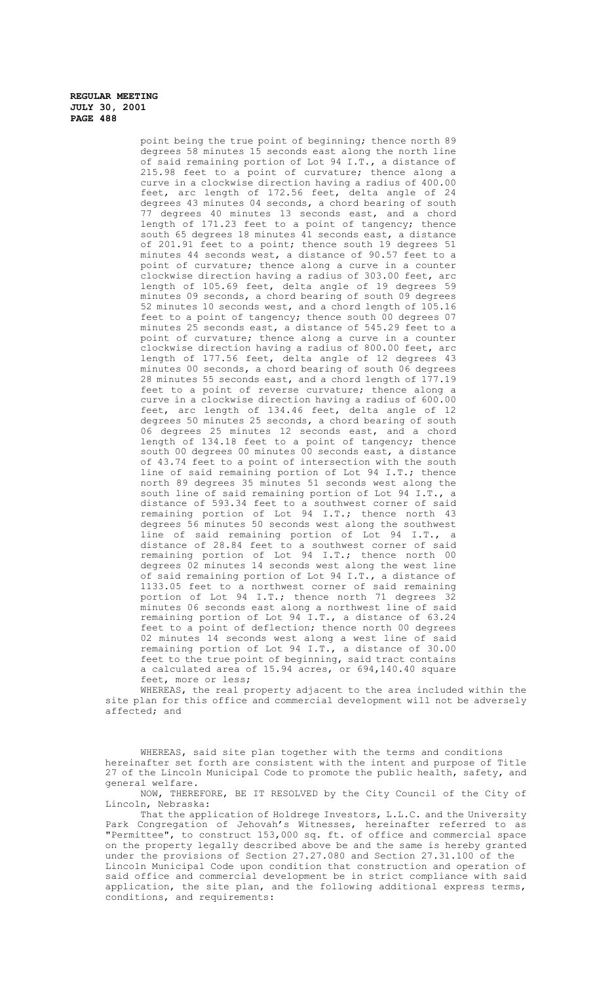point being the true point of beginning; thence north 89 degrees 58 minutes 15 seconds east along the north line of said remaining portion of Lot 94 I.T., a distance of 215.98 feet to a point of curvature; thence along a curve in a clockwise direction having a radius of 400.00 feet, arc length of 172.56 feet, delta angle of 24 degrees 43 minutes 04 seconds, a chord bearing of south 77 degrees 40 minutes 13 seconds east, and a chord length of 171.23 feet to a point of tangency; thence south 65 degrees 18 minutes 41 seconds east, a distance of 201.91 feet to a point; thence south 19 degrees 51 minutes 44 seconds west, a distance of 90.57 feet to a point of curvature; thence along a curve in a counter clockwise direction having a radius of 303.00 feet, arc length of 105.69 feet, delta angle of 19 degrees 59 minutes 09 seconds, a chord bearing of south 09 degrees 52 minutes 10 seconds west, and a chord length of 105.16 feet to a point of tangency; thence south 00 degrees 07 minutes 25 seconds east, a distance of 545.29 feet to a point of curvature; thence along a curve in a counter clockwise direction having a radius of 800.00 feet, arc length of 177.56 feet, delta angle of 12 degrees 43 minutes 00 seconds, a chord bearing of south 06 degrees 28 minutes 55 seconds east, and a chord length of 177.19 feet to a point of reverse curvature; thence along a curve in a clockwise direction having a radius of 600.00 feet, arc length of 134.46 feet, delta angle of 12 degrees 50 minutes 25 seconds, a chord bearing of south 06 degrees 25 minutes 12 seconds east, and a chord length of 134.18 feet to a point of tangency; thence south 00 degrees 00 minutes 00 seconds east, a distance of 43.74 feet to a point of intersection with the south line of said remaining portion of Lot 94 I.T.; thence north 89 degrees 35 minutes 51 seconds west along the south line of said remaining portion of Lot 94 I.T., a distance of 593.34 feet to a southwest corner of said remaining portion of Lot 94 I.T.; thence north 43 degrees 56 minutes 50 seconds west along the southwest line of said remaining portion of Lot 94 I.T., a distance of 28.84 feet to a southwest corner of said remaining portion of Lot 94 I.T.; thence north 00 degrees 02 minutes 14 seconds west along the west line of said remaining portion of Lot 94 I.T., a distance of 1133.05 feet to a northwest corner of said remaining portion of Lot 94 I.T.; thence north 71 degrees 32 minutes 06 seconds east along a northwest line of said remaining portion of Lot 94 I.T., a distance of 63.24 feet to a point of deflection; thence north 00 degrees 02 minutes 14 seconds west along a west line of said remaining portion of Lot 94 I.T., a distance of 30.00 feet to the true point of beginning, said tract contains a calculated area of 15.94 acres, or 694,140.40 square feet, more or less;

WHEREAS, the real property adjacent to the area included within the site plan for this office and commercial development will not be adversely affected; and

WHEREAS, said site plan together with the terms and conditions hereinafter set forth are consistent with the intent and purpose of Title 27 of the Lincoln Municipal Code to promote the public health, safety, and general welfare.

NOW, THEREFORE, BE IT RESOLVED by the City Council of the City of Lincoln, Nebraska:

That the application of Holdrege Investors, L.L.C. and the University Park Congregation of Jehovah's Witnesses, hereinafter referred to as "Permittee", to construct 153,000 sq. ft. of office and commercial space on the property legally described above be and the same is hereby granted under the provisions of Section 27.27.080 and Section 27.31.100 of the Lincoln Municipal Code upon condition that construction and operation of said office and commercial development be in strict compliance with said application, the site plan, and the following additional express terms, conditions, and requirements: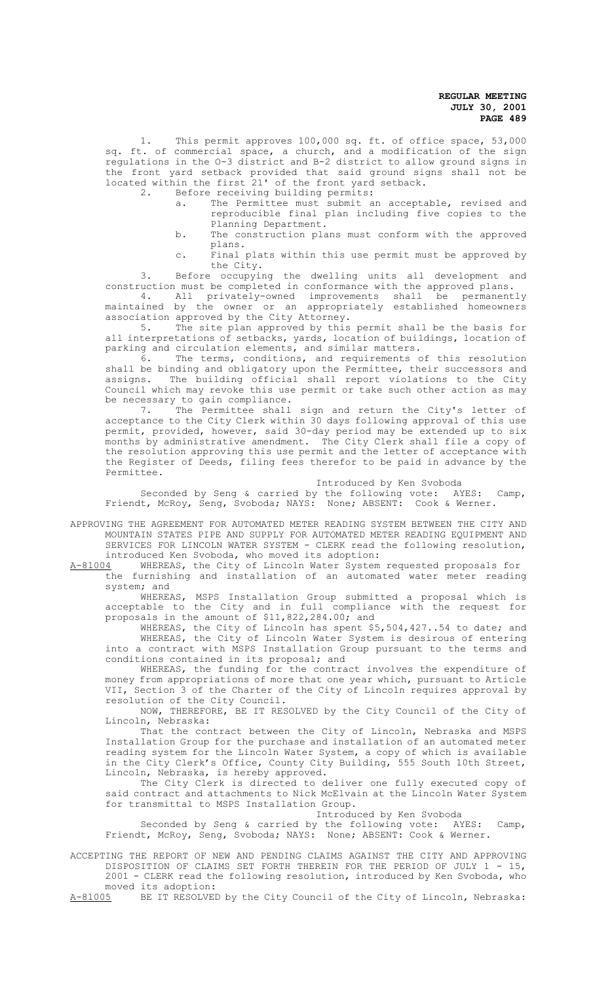1. This permit approves 100,000 sq. ft. of office space, 53,000 sq. ft. of commercial space, a church, and a modification of the sign regulations in the O-3 district and B-2 district to allow ground signs in the front yard setback provided that said ground signs shall not be located within the first 21' of the front yard setback.<br>2. Before receiving building permits:

Before receiving building permits:<br>a. The Permittee must submit a

- The Permittee must submit an acceptable, revised and reproducible final plan including five copies to the Planning Department.
- b. The construction plans must conform with the approved plans.
- c. Final plats within this use permit must be approved by the City.

3. Before occupying the dwelling units all development and construction must be completed in conformance with the approved plans.

4. All privately-owned improvements shall be permanently maintained by the owner or an appropriately established homeowners association approved by the City Attorney.<br>5. The site plan approved by this

The site plan approved by this permit shall be the basis for all interpretations of setbacks, yards, location of buildings, location of parking and circulation elements, and similar matters.

6. The terms, conditions, and requirements of this resolution shall be binding and obligatory upon the Permittee, their successors and assigns. The building official shall report violations to the City Council which may revoke this use permit or take such other action as may be necessary to gain compliance.

7. The Permittee shall sign and return the City's letter of acceptance to the City Clerk within 30 days following approval of this use permit, provided, however, said 30-day period may be extended up to six months by administrative amendment. The City Clerk shall file a copy of the resolution approving this use permit and the letter of acceptance with the Register of Deeds, filing fees therefor to be paid in advance by the Permittee.

Introduced by Ken Svoboda

Seconded by Seng & carried by the following vote: AYES: Camp, Friendt, McRoy, Seng, Svoboda; NAYS: None; ABSENT: Cook & Werner.

APPROVING THE AGREEMENT FOR AUTOMATED METER READING SYSTEM BETWEEN THE CITY AND MOUNTAIN STATES PIPE AND SUPPLY FOR AUTOMATED METER READING EQUIPMENT AND SERVICES FOR LINCOLN WATER SYSTEM - CLERK read the following resolution, introduced Ken Svoboda, who moved its adoption:

A-81004 WHEREAS, the City of Lincoln Water System requested proposals for<br>the furnishing and installation of an automated water meter reading furnishing and installation of an automated water meter reading system; and

WHEREAS, MSPS Installation Group submitted a proposal which is acceptable to the City and in full compliance with the request for proposals in the amount of \$11,822,284.00; and

WHEREAS, the City of Lincoln has spent \$5,504,427..54 to date; and WHEREAS, the City of Lincoln Water System is desirous of entering into a contract with MSPS Installation Group pursuant to the terms and conditions contained in its proposal; and

WHEREAS, the funding for the contract involves the expenditure of money from appropriations of more that one year which, pursuant to Article VII, Section 3 of the Charter of the City of Lincoln requires approval by resolution of the City Council.

NOW, THEREFORE, BE IT RESOLVED by the City Council of the City of Lincoln, Nebraska:

That the contract between the City of Lincoln, Nebraska and MSPS Installation Group for the purchase and installation of an automated meter reading system for the Lincoln Water System, a copy of which is available in the City Clerk's Office, County City Building, 555 South 10th Street, Lincoln, Nebraska, is hereby approved.

The City Clerk is directed to deliver one fully executed copy of said contract and attachments to Nick McElvain at the Lincoln Water System for transmittal to MSPS Installation Group.

Introduced by Ken Svoboda

Seconded by Seng & carried by the following vote: AYES: Camp, Friendt, McRoy, Seng, Svoboda; NAYS: None; ABSENT: Cook & Werner.

ACCEPTING THE REPORT OF NEW AND PENDING CLAIMS AGAINST THE CITY AND APPROVING DISPOSITION OF CLAIMS SET FORTH THEREIN FOR THE PERIOD OF JULY 1 - 15, 2001 - CLERK read the following resolution, introduced by Ken Svoboda, who moved its adoption:<br>A-81005 BE IT RESOLVEI

BE IT RESOLVED by the City Council of the City of Lincoln, Nebraska: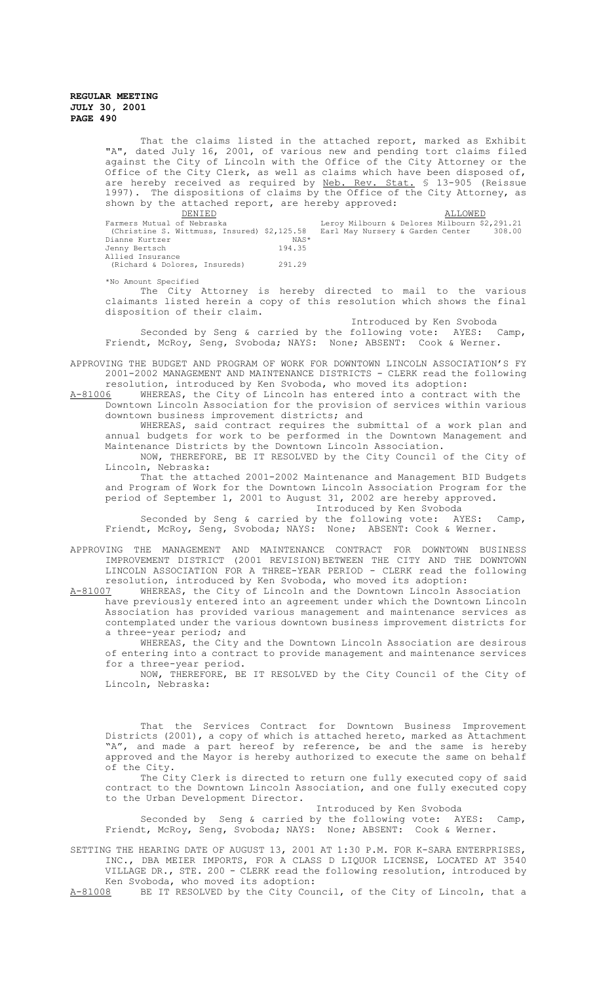That the claims listed in the attached report, marked as Exhibit "A", dated July 16, 2001, of various new and pending tort claims filed against the City of Lincoln with the Office of the City Attorney or the Office of the City Clerk, as well as claims which have been disposed of, are hereby received as required by Neb. Rev. Stat. § 13-905 (Reissue 1997). The dispositions of claims by the Office of the City Attorney, as shown by the attached report, are hereby approved:<br>DENIED

 $\begin{tabular}{l} \bf \textit{DENIED} \\ \bf \textit{Farmers Mutual of Nebraska} \\ \bf \textit{Farmers Mutual} \\ \bf \textit{Debraska} \\ \end{tabular}$ Farmers Mutual of Nebraska Leroy Milbourn & Delores Milbourn \$2,291.21 (Christine S. Wittmuss, Insured) \$2,125.58 Earl May Nursery & Garden Center 308.00 Dianne Kurtzer NAS\* Jenny Bertsch 194.35 Allied Insurance (Richard & Dolores, Insureds) 291.29

\*No Amount Specified

The City Attorney is hereby directed to mail to the various claimants listed herein a copy of this resolution which shows the final disposition of their claim.

Introduced by Ken Svoboda

Seconded by Seng & carried by the following vote: AYES: Camp, Friendt, McRoy, Seng, Svoboda; NAYS: None; ABSENT: Cook & Werner.

APPROVING THE BUDGET AND PROGRAM OF WORK FOR DOWNTOWN LINCOLN ASSOCIATION'S FY 2001-2002 MANAGEMENT AND MAINTENANCE DISTRICTS - CLERK read the following resolution, introduced by Ken Svoboda, who moved its adoption:<br>A-81006 WHEREAS, the City of Lincoln has entered into a contract

WHEREAS, the City of Lincoln has entered into a contract with the Downtown Lincoln Association for the provision of services within various downtown business improvement districts; and

WHEREAS, said contract requires the submittal of a work plan and annual budgets for work to be performed in the Downtown Management and Maintenance Districts by the Downtown Lincoln Association.

NOW, THEREFORE, BE IT RESOLVED by the City Council of the City of Lincoln, Nebraska:

That the attached 2001-2002 Maintenance and Management BID Budgets and Program of Work for the Downtown Lincoln Association Program for the period of September 1, 2001 to August 31, 2002 are hereby approved. Introduced by Ken Svoboda

Seconded by Seng & carried by the following vote: AYES: Camp, Friendt, McRoy, Seng, Svoboda; NAYS: None; ABSENT: Cook & Werner.

APPROVING THE MANAGEMENT AND MAINTENANCE CONTRACT FOR DOWNTOWN BUSINESS IMPROVEMENT DISTRICT (2001 REVISION)BETWEEN THE CITY AND THE DOWNTOWN LINCOLN ASSOCIATION FOR A THREE-YEAR PERIOD - CLERK read the following resolution, introduced by Ken Svoboda, who moved its adoption:<br>A-81007 WHEREAS, the City of Lincoln and the Downtown Lincoln As

WHEREAS, the City of Lincoln and the Downtown Lincoln Association have previously entered into an agreement under which the Downtown Lincoln Association has provided various management and maintenance services as contemplated under the various downtown business improvement districts for a three-year period; and

WHEREAS, the City and the Downtown Lincoln Association are desirous of entering into a contract to provide management and maintenance services for a three-year period.

NOW, THEREFORE, BE IT RESOLVED by the City Council of the City of Lincoln, Nebraska:

That the Services Contract for Downtown Business Improvement Districts (2001), a copy of which is attached hereto, marked as Attachment "A", and made a part hereof by reference, be and the same is hereby approved and the Mayor is hereby authorized to execute the same on behalf of the City.

The City Clerk is directed to return one fully executed copy of said contract to the Downtown Lincoln Association, and one fully executed copy to the Urban Development Director.

Introduced by Ken Svoboda

Seconded by Seng & carried by the following vote: AYES: Camp, Friendt, McRoy, Seng, Svoboda; NAYS: None; ABSENT: Cook & Werner.

SETTING THE HEARING DATE OF AUGUST 13, 2001 AT 1:30 P.M. FOR K-SARA ENTERPRISES, INC., DBA MEIER IMPORTS, FOR A CLASS D LIQUOR LICENSE, LOCATED AT 3540 VILLAGE DR., STE. 200 - CLERK read the following resolution, introduced by Ken Svoboda, who moved its adoption:

A-81008 BE IT RESOLVED by the City Council, of the City of Lincoln, that a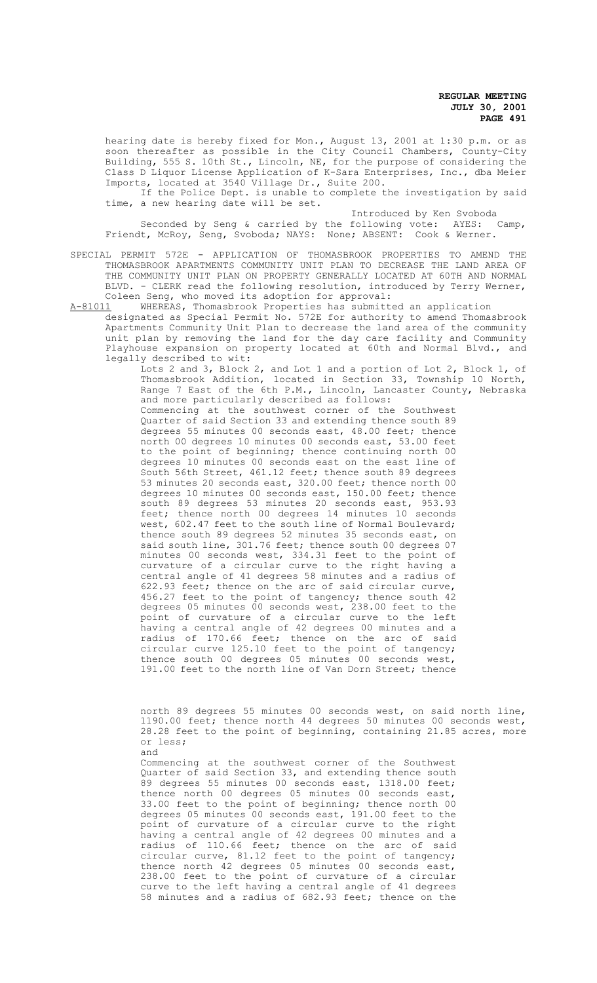hearing date is hereby fixed for Mon., August 13, 2001 at 1:30 p.m. or as soon thereafter as possible in the City Council Chambers, County-City Building, 555 S. 10th St., Lincoln, NE, for the purpose of considering the Class D Liquor License Application of K-Sara Enterprises, Inc., dba Meier Imports, located at 3540 Village Dr., Suite 200.

If the Police Dept. is unable to complete the investigation by said time, a new hearing date will be set.

Introduced by Ken Svoboda

Seconded by Seng & carried by the following vote: AYES: Camp, Friendt, McRoy, Seng, Svoboda; NAYS: None; ABSENT: Cook & Werner.

SPECIAL PERMIT 572E - APPLICATION OF THOMASBROOK PROPERTIES TO AMEND THE THOMASBROOK APARTMENTS COMMUNITY UNIT PLAN TO DECREASE THE LAND AREA OF THE COMMUNITY UNIT PLAN ON PROPERTY GENERALLY LOCATED AT 60TH AND NORMAL BLVD. - CLERK read the following resolution, introduced by Terry Werner, Coleen Seng, who moved its adoption for approval:

A-81011 WHEREAS, Thomasbrook Properties has submitted an application

designated as Special Permit No. 572E for authority to amend Thomasbrook Apartments Community Unit Plan to decrease the land area of the community unit plan by removing the land for the day care facility and Community Playhouse expansion on property located at 60th and Normal Blvd., and legally described to wit:

Lots 2 and 3, Block 2, and Lot 1 and a portion of Lot 2, Block 1, of Thomasbrook Addition, located in Section 33, Township 10 North, Range 7 East of the 6th P.M., Lincoln, Lancaster County, Nebraska and more particularly described as follows:

Commencing at the southwest corner of the Southwest Quarter of said Section 33 and extending thence south 89 degrees 55 minutes 00 seconds east, 48.00 feet; thence north 00 degrees 10 minutes 00 seconds east, 53.00 feet to the point of beginning; thence continuing north 00 degrees 10 minutes 00 seconds east on the east line of South 56th Street, 461.12 feet; thence south 89 degrees 53 minutes 20 seconds east, 320.00 feet; thence north 00 degrees 10 minutes 00 seconds east, 150.00 feet; thence south 89 degrees 53 minutes 20 seconds east, 953.93 feet; thence north 00 degrees 14 minutes 10 seconds west, 602.47 feet to the south line of Normal Boulevard; thence south 89 degrees 52 minutes 35 seconds east, on said south line, 301.76 feet; thence south 00 degrees 07 minutes 00 seconds west, 334.31 feet to the point of curvature of a circular curve to the right having a central angle of 41 degrees 58 minutes and a radius of 622.93 feet; thence on the arc of said circular curve, 456.27 feet to the point of tangency; thence south 42 degrees 05 minutes 00 seconds west, 238.00 feet to the point of curvature of a circular curve to the left having a central angle of 42 degrees 00 minutes and a radius of 170.66 feet; thence on the arc of said circular curve 125.10 feet to the point of tangency; thence south 00 degrees 05 minutes 00 seconds west, 191.00 feet to the north line of Van Dorn Street; thence

north 89 degrees 55 minutes 00 seconds west, on said north line, 1190.00 feet; thence north 44 degrees 50 minutes 00 seconds west, 28.28 feet to the point of beginning, containing 21.85 acres, more or less; and

Commencing at the southwest corner of the Southwest Quarter of said Section 33, and extending thence south 89 degrees 55 minutes 00 seconds east, 1318.00 feet; thence north 00 degrees 05 minutes 00 seconds east, 33.00 feet to the point of beginning; thence north 00 degrees 05 minutes 00 seconds east, 191.00 feet to the point of curvature of a circular curve to the right having a central angle of 42 degrees 00 minutes and a radius of 110.66 feet; thence on the arc of said circular curve, 81.12 feet to the point of tangency; thence north 42 degrees 05 minutes 00 seconds east, 238.00 feet to the point of curvature of a circular curve to the left having a central angle of 41 degrees 58 minutes and a radius of 682.93 feet; thence on the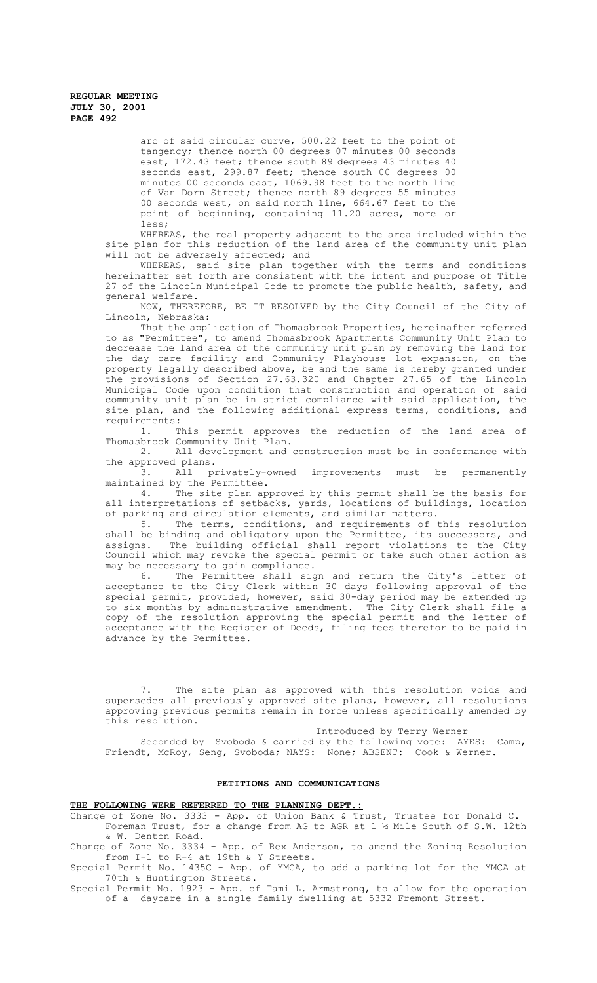> arc of said circular curve, 500.22 feet to the point of tangency; thence north 00 degrees 07 minutes 00 seconds east, 172.43 feet; thence south 89 degrees 43 minutes 40 seconds east, 299.87 feet; thence south 00 degrees 00 minutes 00 seconds east, 1069.98 feet to the north line of Van Dorn Street; thence north 89 degrees 55 minutes 00 seconds west, on said north line, 664.67 feet to the point of beginning, containing 11.20 acres, more or less;

WHEREAS, the real property adjacent to the area included within the site plan for this reduction of the land area of the community unit plan will not be adversely affected; and

WHEREAS, said site plan together with the terms and conditions hereinafter set forth are consistent with the intent and purpose of Title 27 of the Lincoln Municipal Code to promote the public health, safety, and general welfare.

NOW, THEREFORE, BE IT RESOLVED by the City Council of the City of Lincoln, Nebraska:

That the application of Thomasbrook Properties, hereinafter referred to as "Permittee", to amend Thomasbrook Apartments Community Unit Plan to decrease the land area of the community unit plan by removing the land for the day care facility and Community Playhouse lot expansion, on the property legally described above, be and the same is hereby granted under the provisions of Section 27.63.320 and Chapter 27.65 of the Lincoln Municipal Code upon condition that construction and operation of said community unit plan be in strict compliance with said application, the site plan, and the following additional express terms, conditions, and requirements:

1. This permit approves the reduction of the land area of Thomasbrook Community Unit Plan.<br>2. All development and

All development and construction must be in conformance with the approved plans.

3. All privately-owned improvements must be permanently maintained by the Permittee.

4. The site plan approved by this permit shall be the basis for all interpretations of setbacks, yards, locations of buildings, location of parking and circulation elements, and similar matters.<br>5. The terms, conditions, and requirements of t

The terms, conditions, and requirements of this resolution shall be binding and obligatory upon the Permittee, its successors, and assigns. The building official shall report violations to the City Council which may revoke the special permit or take such other action as may be necessary to gain compliance.<br>6. The Permittee shall side

Permittee shall sign and return the City's letter of acceptance to the City Clerk within 30 days following approval of the special permit, provided, however, said 30-day period may be extended up to six months by administrative amendment. The City Clerk shall file a copy of the resolution approving the special permit and the letter of acceptance with the Register of Deeds, filing fees therefor to be paid in advance by the Permittee.

7. The site plan as approved with this resolution voids and supersedes all previously approved site plans, however, all resolutions approving previous permits remain in force unless specifically amended by this resolution. Introduced by Terry Werner

Seconded by Svoboda & carried by the following vote: AYES: Camp, Friendt, McRoy, Seng, Svoboda; NAYS: None; ABSENT: Cook & Werner.

## **PETITIONS AND COMMUNICATIONS**

#### **THE FOLLOWING WERE REFERRED TO THE PLANNING DEPT.:**

Change of Zone No. 3333 - App. of Union Bank & Trust, Trustee for Donald C.

Foreman Trust, for a change from AG to AGR at 1 ½ Mile South of S.W. 12th & W. Denton Road.

Change of Zone No. 3334 - App. of Rex Anderson, to amend the Zoning Resolution from I-1 to R-4 at 19th & Y Streets.

Special Permit No. 1435C - App. of YMCA, to add a parking lot for the YMCA at 70th & Huntington Streets.

Special Permit No. 1923 - App. of Tami L. Armstrong, to allow for the operation of a daycare in a single family dwelling at 5332 Fremont Street.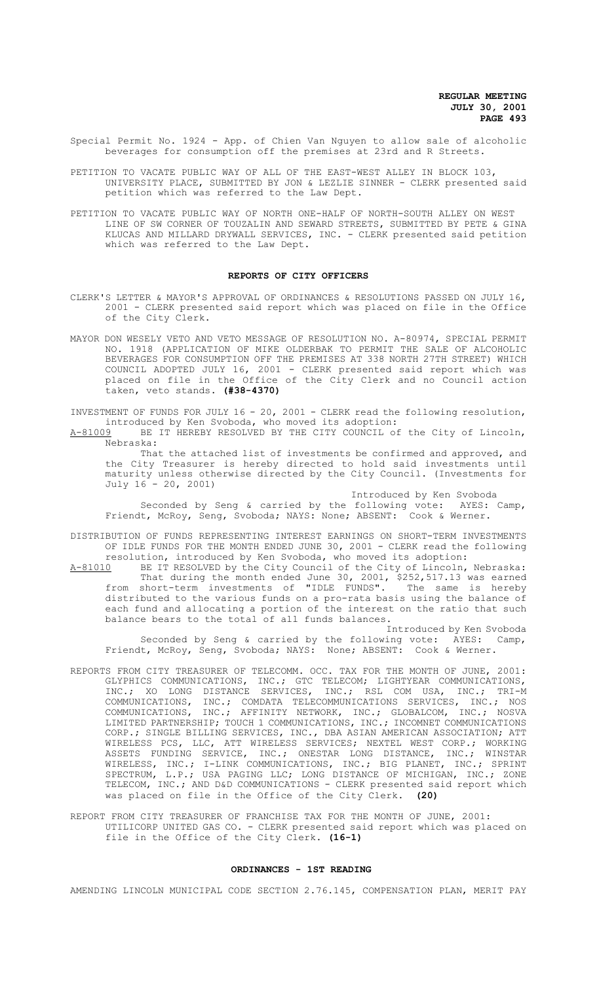- Special Permit No. 1924 App. of Chien Van Nguyen to allow sale of alcoholic beverages for consumption off the premises at 23rd and R Streets.
- PETITION TO VACATE PUBLIC WAY OF ALL OF THE EAST-WEST ALLEY IN BLOCK 103, UNIVERSITY PLACE, SUBMITTED BY JON & LEZLIE SINNER - CLERK presented said petition which was referred to the Law Dept.
- PETITION TO VACATE PUBLIC WAY OF NORTH ONE-HALF OF NORTH-SOUTH ALLEY ON WEST LINE OF SW CORNER OF TOUZALIN AND SEWARD STREETS, SUBMITTED BY PETE & GINA KLUCAS AND MILLARD DRYWALL SERVICES, INC. - CLERK presented said petition which was referred to the Law Dept.

### **REPORTS OF CITY OFFICERS**

- CLERK'S LETTER & MAYOR'S APPROVAL OF ORDINANCES & RESOLUTIONS PASSED ON JULY 16, 2001 - CLERK presented said report which was placed on file in the Office of the City Clerk.
- MAYOR DON WESELY VETO AND VETO MESSAGE OF RESOLUTION NO. A-80974, SPECIAL PERMIT NO. 1918 (APPLICATION OF MIKE OLDERBAK TO PERMIT THE SALE OF ALCOHOLIC BEVERAGES FOR CONSUMPTION OFF THE PREMISES AT 338 NORTH 27TH STREET) WHICH COUNCIL ADOPTED JULY 16, 2001 - CLERK presented said report which was placed on file in the Office of the City Clerk and no Council action taken, veto stands. **(#38-4370)**

INVESTMENT OF FUNDS FOR JULY 16 - 20, 2001 - CLERK read the following resolution, introduced by Ken Svoboda, who moved its adoption:<br>A-81009 BE IT HEREBY RESOLVED BY THE CITY COUNCIL o:

BE IT HEREBY RESOLVED BY THE CITY COUNCIL of the City of Lincoln, Nebraska:

That the attached list of investments be confirmed and approved, and the City Treasurer is hereby directed to hold said investments until maturity unless otherwise directed by the City Council. (Investments for July 16 - 20, 2001)

Introduced by Ken Svoboda

Seconded by Seng & carried by the following vote: AYES: Camp, Friendt, McRoy, Seng, Svoboda; NAYS: None; ABSENT: Cook & Werner.

DISTRIBUTION OF FUNDS REPRESENTING INTEREST EARNINGS ON SHORT-TERM INVESTMENTS OF IDLE FUNDS FOR THE MONTH ENDED JUNE 30, 2001 - CLERK read the following

resolution, introduced by Ken Svoboda, who moved its adoption:<br>A-81010 BE IT RESOLVED by the City Council of the City of Lincoln, BE IT RESOLVED by the City Council of the City of Lincoln, Nebraska: That during the month ended June 30, 2001, \$252,517.13 was earned from short-term investments of "IDLE FUNDS". The same is hereby distributed to the various funds on a pro-rata basis using the balance of each fund and allocating a portion of the interest on the ratio that such balance bears to the total of all funds balances.

Introduced by Ken Svoboda Seconded by Seng & carried by the following vote: AYES: Camp, Friendt, McRoy, Seng, Svoboda; NAYS: None; ABSENT: Cook & Werner.

- REPORTS FROM CITY TREASURER OF TELECOMM. OCC. TAX FOR THE MONTH OF JUNE, 2001: GLYPHICS COMMUNICATIONS, INC.; GTC TELECOM; LIGHTYEAR COMMUNICATIONS, INC.; XO LONG DISTANCE SERVICES, INC.; RSL COM USA, INC.; TRI-M COMMUNICATIONS, INC.; COMDATA TELECOMMUNICATIONS SERVICES, INC.; NOS COMMUNICATIONS, INC.; AFFINITY NETWORK, INC.; GLOBALCOM, INC.; NOSVA LIMITED PARTNERSHIP; TOUCH 1 COMMUNICATIONS, INC.; INCOMNET COMMUNICATIONS CORP.; SINGLE BILLING SERVICES, INC., DBA ASIAN AMERICAN ASSOCIATION; ATT WIRELESS PCS, LLC, ATT WIRELESS SERVICES; NEXTEL WEST CORP.; WORKING ASSETS FUNDING SERVICE, INC.; ONESTAR LONG DISTANCE, INC.; WINSTAR WIRELESS, INC.; I-LINK COMMUNICATIONS, INC.; BIG PLANET, INC.; SPRINT SPECTRUM, L.P.; USA PAGING LLC; LONG DISTANCE OF MICHIGAN, INC.; ZONE TELECOM, INC.; AND D&D COMMUNICATIONS - CLERK presented said report which was placed on file in the Office of the City Clerk. **(20)**
- REPORT FROM CITY TREASURER OF FRANCHISE TAX FOR THE MONTH OF JUNE, 2001: UTILICORP UNITED GAS CO. - CLERK presented said report which was placed on file in the Office of the City Clerk. **(16-1)**

#### **ORDINANCES - 1ST READING**

AMENDING LINCOLN MUNICIPAL CODE SECTION 2.76.145, COMPENSATION PLAN, MERIT PAY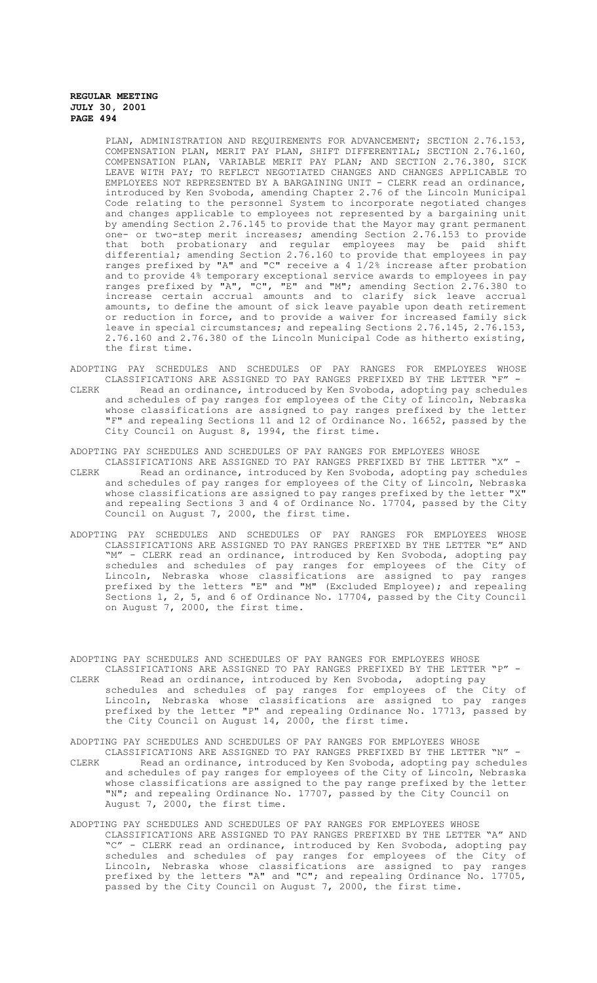PLAN, ADMINISTRATION AND REQUIREMENTS FOR ADVANCEMENT; SECTION 2.76.153, COMPENSATION PLAN, MERIT PAY PLAN, SHIFT DIFFERENTIAL; SECTION 2.76.160, COMPENSATION PLAN, VARIABLE MERIT PAY PLAN; AND SECTION 2.76.380, SICK LEAVE WITH PAY; TO REFLECT NEGOTIATED CHANGES AND CHANGES APPLICABLE TO EMPLOYEES NOT REPRESENTED BY A BARGAINING UNIT - CLERK read an ordinance, introduced by Ken Svoboda, amending Chapter 2.76 of the Lincoln Municipal Code relating to the personnel System to incorporate negotiated changes and changes applicable to employees not represented by a bargaining unit by amending Section 2.76.145 to provide that the Mayor may grant permanent one- or two-step merit increases; amending Section 2.76.153 to provide that both probationary and regular employees may be paid shift differential; amending Section 2.76.160 to provide that employees in pay ranges prefixed by "A" and "C" receive a 4 1/2% increase after probation and to provide 4% temporary exceptional service awards to employees in pay ranges prefixed by "A", "C", "E" and "M"; amending Section 2.76.380 to increase certain accrual amounts and to clarify sick leave accrual amounts, to define the amount of sick leave payable upon death retirement or reduction in force, and to provide a waiver for increased family sick leave in special circumstances; and repealing Sections 2.76.145, 2.76.153, 2.76.160 and 2.76.380 of the Lincoln Municipal Code as hitherto existing, the first time.

- ADOPTING PAY SCHEDULES AND SCHEDULES OF PAY RANGES FOR EMPLOYEES WHOSE CLASSIFICATIONS ARE ASSIGNED TO PAY RANGES PREFIXED BY THE LETTER "F" -
- CLERK Read an ordinance, introduced by Ken Svoboda, adopting pay schedules and schedules of pay ranges for employees of the City of Lincoln, Nebraska whose classifications are assigned to pay ranges prefixed by the letter "F" and repealing Sections 11 and 12 of Ordinance No. 16652, passed by the City Council on August 8, 1994, the first time.

ADOPTING PAY SCHEDULES AND SCHEDULES OF PAY RANGES FOR EMPLOYEES WHOSE

- CLASSIFICATIONS ARE ASSIGNED TO PAY RANGES PREFIXED BY THE LETTER "X" CLERK Read an ordinance, introduced by Ken Svoboda, adopting pay schedules and schedules of pay ranges for employees of the City of Lincoln, Nebraska whose classifications are assigned to pay ranges prefixed by the letter "X" and repealing Sections 3 and 4 of Ordinance No. 17704, passed by the City Council on August 7, 2000, the first time.
- ADOPTING PAY SCHEDULES AND SCHEDULES OF PAY RANGES FOR EMPLOYEES WHOSE CLASSIFICATIONS ARE ASSIGNED TO PAY RANGES PREFIXED BY THE LETTER "E" AND "M" - CLERK read an ordinance, introduced by Ken Svoboda, adopting pay schedules and schedules of pay ranges for employees of the City of Lincoln, Nebraska whose classifications are assigned to pay ranges prefixed by the letters "E" and "M" (Excluded Employee); and repealing Sections 1, 2, 5, and 6 of Ordinance No. 17704, passed by the City Council on August 7, 2000, the first time.

ADOPTING PAY SCHEDULES AND SCHEDULES OF PAY RANGES FOR EMPLOYEES WHOSE CLASSIFICATIONS ARE ASSIGNED TO PAY RANGES PREFIXED BY THE LETTER "P" -

Read an ordinance, introduced by Ken Svoboda, adopting pay schedules and schedules of pay ranges for employees of the City of Lincoln, Nebraska whose classifications are assigned to pay ranges prefixed by the letter "P" and repealing Ordinance No. 17713, passed by the City Council on August 14, 2000, the first time.

# ADOPTING PAY SCHEDULES AND SCHEDULES OF PAY RANGES FOR EMPLOYEES WHOSE

CLASSIFICATIONS ARE ASSIGNED TO PAY RANGES PREFIXED BY THE LETTER "N" - CLERK Read an ordinance, introduced by Ken Svoboda, adopting pay schedules and schedules of pay ranges for employees of the City of Lincoln, Nebraska whose classifications are assigned to the pay range prefixed by the letter "N"; and repealing Ordinance No. 17707, passed by the City Council on August 7, 2000, the first time.

#### ADOPTING PAY SCHEDULES AND SCHEDULES OF PAY RANGES FOR EMPLOYEES WHOSE

CLASSIFICATIONS ARE ASSIGNED TO PAY RANGES PREFIXED BY THE LETTER "A" AND "C" - CLERK read an ordinance, introduced by Ken Svoboda, adopting pay schedules and schedules of pay ranges for employees of the City of Lincoln, Nebraska whose classifications are assigned to pay ranges prefixed by the letters "A" and "C"; and repealing Ordinance No. 17705, passed by the City Council on August 7, 2000, the first time.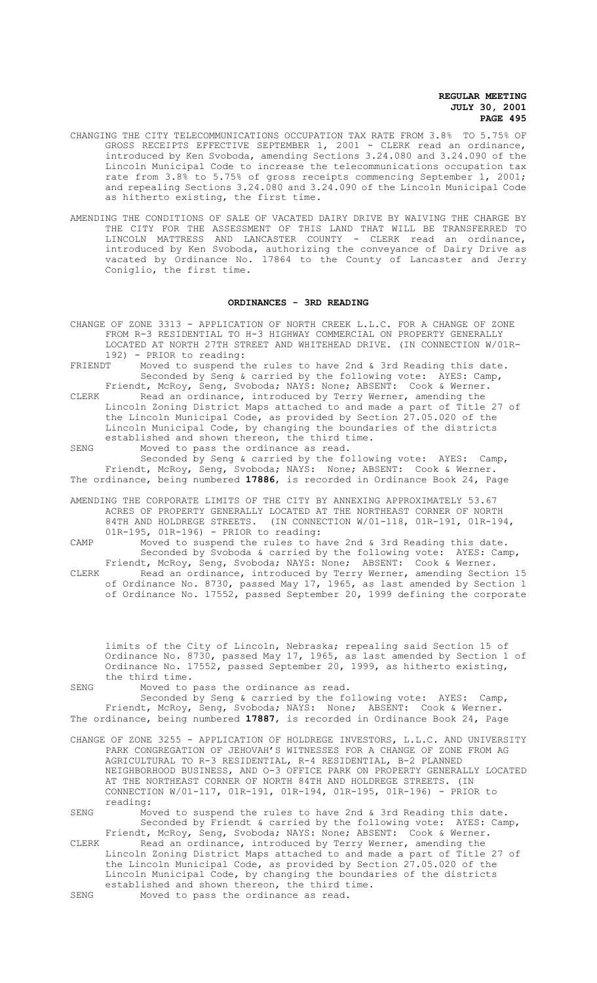- CHANGING THE CITY TELECOMMUNICATIONS OCCUPATION TAX RATE FROM 3.8% TO 5.75% OF GROSS RECEIPTS EFFECTIVE SEPTEMBER 1, 2001 - CLERK read an ordinance, introduced by Ken Svoboda, amending Sections 3.24.080 and 3.24.090 of the Lincoln Municipal Code to increase the telecommunications occupation tax rate from 3.8% to 5.75% of gross receipts commencing September 1, 2001; and repealing Sections 3.24.080 and 3.24.090 of the Lincoln Municipal Code as hitherto existing, the first time.
- AMENDING THE CONDITIONS OF SALE OF VACATED DAIRY DRIVE BY WAIVING THE CHARGE BY THE CITY FOR THE ASSESSMENT OF THIS LAND THAT WILL BE TRANSFERRED TO LINCOLN MATTRESS AND LANCASTER COUNTY - CLERK read an ordinance, introduced by Ken Svoboda, authorizing the conveyance of Dairy Drive as vacated by Ordinance No. 17864 to the County of Lancaster and Jerry Coniglio, the first time.

#### **ORDINANCES - 3RD READING**

CHANGE OF ZONE 3313 - APPLICATION OF NORTH CREEK L.L.C. FOR A CHANGE OF ZONE FROM R-3 RESIDENTIAL TO H-3 HIGHWAY COMMERCIAL ON PROPERTY GENERALLY LOCATED AT NORTH 27TH STREET AND WHITEHEAD DRIVE. (IN CONNECTION W/01R-192) - PRIOR to reading: FRIENDT Moved to suspend the rules to have 2nd & 3rd Reading this date.

Seconded by Seng & carried by the following vote: AYES: Camp, Friendt, McRoy, Seng, Svoboda; NAYS: None; ABSENT: Cook & Werner.

- CLERK Read an ordinance, introduced by Terry Werner, amending the Lincoln Zoning District Maps attached to and made a part of Title 27 of the Lincoln Municipal Code, as provided by Section 27.05.020 of the Lincoln Municipal Code, by changing the boundaries of the districts established and shown thereon, the third time.
- SENG Moved to pass the ordinance as read.

Seconded by Seng & carried by the following vote: AYES: Camp, Friendt, McRoy, Seng, Svoboda; NAYS: None; ABSENT: Cook & Werner. The ordinance, being numbered **17886**, is recorded in Ordinance Book 24, Page

AMENDING THE CORPORATE LIMITS OF THE CITY BY ANNEXING APPROXIMATELY 53.67 ACRES OF PROPERTY GENERALLY LOCATED AT THE NORTHEAST CORNER OF NORTH 84TH AND HOLDREGE STREETS. (IN CONNECTION W/01-118, 01R-191, 01R-194, 01R-195, 01R-196) - PRIOR to reading:

CAMP Moved to suspend the rules to have 2nd & 3rd Reading this date. Seconded by Svoboda & carried by the following vote: AYES: Camp, Friendt, McRoy, Seng, Svoboda; NAYS: None; ABSENT: Cook & Werner.

CLERK Read an ordinance, introduced by Terry Werner, amending Section 15 of Ordinance No. 8730, passed May 17, 1965, as last amended by Section 1 of Ordinance No. 17552, passed September 20, 1999 defining the corporate

limits of the City of Lincoln, Nebraska; repealing said Section 15 of Ordinance No. 8730, passed May 17, 1965, as last amended by Section 1 of Ordinance No. 17552, passed September 20, 1999, as hitherto existing, the third time.

SENG Moved to pass the ordinance as read. Seconded by Seng & carried by the following vote: AYES: Camp, Friendt, McRoy, Seng, Svoboda; NAYS: None; ABSENT: Cook & Werner. The ordinance, being numbered **17887**, is recorded in Ordinance Book 24, Page

CHANGE OF ZONE 3255 - APPLICATION OF HOLDREGE INVESTORS, L.L.C. AND UNIVERSITY PARK CONGREGATION OF JEHOVAH'S WITNESSES FOR A CHANGE OF ZONE FROM AG AGRICULTURAL TO R-3 RESIDENTIAL, R-4 RESIDENTIAL, B-2 PLANNED NEIGHBORHOOD BUSINESS, AND O-3 OFFICE PARK ON PROPERTY GENERALLY LOCATED AT THE NORTHEAST CORNER OF NORTH 84TH AND HOLDREGE STREETS. (IN CONNECTION W/01-117, 01R-191, 01R-194, 01R-195, 01R-196) - PRIOR to reading:

SENG Moved to suspend the rules to have 2nd & 3rd Reading this date. Seconded by Friendt & carried by the following vote: AYES: Camp, Friendt, McRoy, Seng, Svoboda; NAYS: None; ABSENT: Cook & Werner.

CLERK Read an ordinance, introduced by Terry Werner, amending the Lincoln Zoning District Maps attached to and made a part of Title 27 of the Lincoln Municipal Code, as provided by Section 27.05.020 of the Lincoln Municipal Code, by changing the boundaries of the districts established and shown thereon, the third time. SENG Moved to pass the ordinance as read.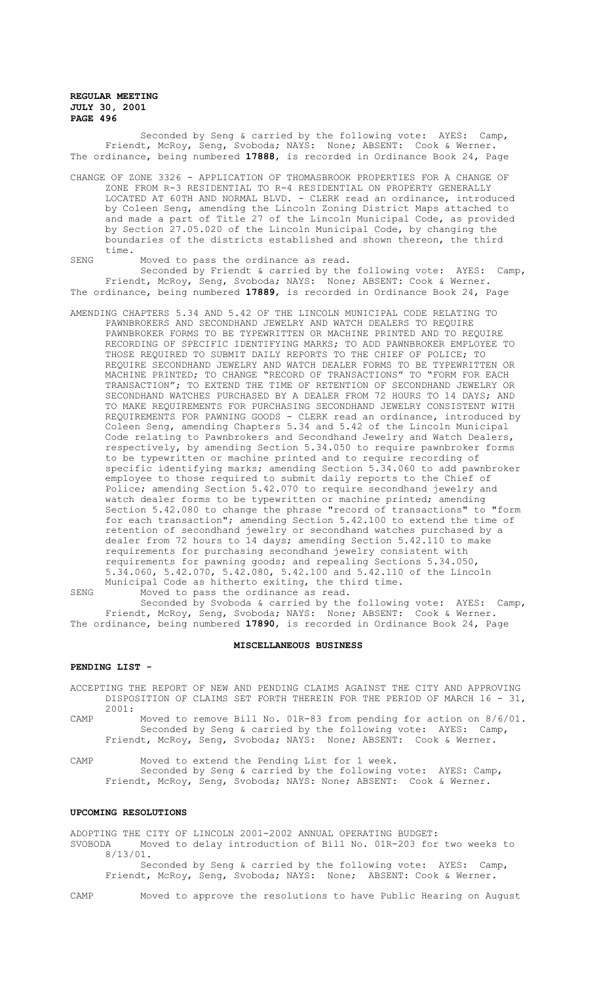Seconded by Seng & carried by the following vote: AYES: Camp, Friendt, McRoy, Seng, Svoboda; NAYS: None; ABSENT: Cook & Werner. The ordinance, being numbered **17888**, is recorded in Ordinance Book 24, Page

CHANGE OF ZONE 3326 - APPLICATION OF THOMASBROOK PROPERTIES FOR A CHANGE OF ZONE FROM R-3 RESIDENTIAL TO R-4 RESIDENTIAL ON PROPERTY GENERALLY LOCATED AT 60TH AND NORMAL BLVD. - CLERK read an ordinance, introduced by Coleen Seng, amending the Lincoln Zoning District Maps attached to and made a part of Title 27 of the Lincoln Municipal Code, as provided by Section 27.05.020 of the Lincoln Municipal Code, by changing the boundaries of the districts established and shown thereon, the third time.

SENG Moved to pass the ordinance as read. Seconded by Friendt & carried by the following vote: AYES: Camp, Friendt, McRoy, Seng, Svoboda; NAYS: None; ABSENT: Cook & Werner. The ordinance, being numbered **17889**, is recorded in Ordinance Book 24, Page

- AMENDING CHAPTERS 5.34 AND 5.42 OF THE LINCOLN MUNICIPAL CODE RELATING TO PAWNBROKERS AND SECONDHAND JEWELRY AND WATCH DEALERS TO REQUIRE PAWNBROKER FORMS TO BE TYPEWRITTEN OR MACHINE PRINTED AND TO REQUIRE RECORDING OF SPECIFIC IDENTIFYING MARKS; TO ADD PAWNBROKER EMPLOYEE TO THOSE REQUIRED TO SUBMIT DAILY REPORTS TO THE CHIEF OF POLICE; TO REQUIRE SECONDHAND JEWELRY AND WATCH DEALER FORMS TO BE TYPEWRITTEN OR MACHINE PRINTED; TO CHANGE "RECORD OF TRANSACTIONS" TO "FORM FOR EACH TRANSACTION"; TO EXTEND THE TIME OF RETENTION OF SECONDHAND JEWELRY OR SECONDHAND WATCHES PURCHASED BY A DEALER FROM 72 HOURS TO 14 DAYS; AND TO MAKE REQUIREMENTS FOR PURCHASING SECONDHAND JEWELRY CONSISTENT WITH REQUIREMENTS FOR PAWNING GOODS - CLERK read an ordinance, introduced by Coleen Seng, amending Chapters 5.34 and 5.42 of the Lincoln Municipal Code relating to Pawnbrokers and Secondhand Jewelry and Watch Dealers, respectively, by amending Section 5.34.050 to require pawnbroker forms to be typewritten or machine printed and to require recording of specific identifying marks; amending Section 5.34.060 to add pawnbroker employee to those required to submit daily reports to the Chief of Police; amending Section 5.42.070 to require secondhand jewelry and watch dealer forms to be typewritten or machine printed; amending Section 5.42.080 to change the phrase "record of transactions" to "form for each transaction"; amending Section 5.42.100 to extend the time of retention of secondhand jewelry or secondhand watches purchased by a dealer from 72 hours to 14 days; amending Section 5.42.110 to make requirements for purchasing secondhand jewelry consistent with requirements for pawning goods; and repealing Sections 5.34.050, 5.34.060, 5.42.070, 5.42.080, 5.42.100 and 5.42.110 of the Lincoln Municipal Code as hitherto exiting, the third time.
- SENG Moved to pass the ordinance as read. Seconded by Svoboda & carried by the following vote: AYES: Camp, Friendt, McRoy, Seng, Svoboda; NAYS: None; ABSENT: Cook & Werner. The ordinance, being numbered **17890**, is recorded in Ordinance Book 24, Page

### **MISCELLANEOUS BUSINESS**

#### **PENDING LIST -**

ACCEPTING THE REPORT OF NEW AND PENDING CLAIMS AGAINST THE CITY AND APPROVING DISPOSITION OF CLAIMS SET FORTH THEREIN FOR THE PERIOD OF MARCH 16 - 31, 2001:

CAMP Moved to remove Bill No. 01R-83 from pending for action on 8/6/01. Seconded by Seng & carried by the following vote: AYES: Camp, Friendt, McRoy, Seng, Svoboda; NAYS: None; ABSENT: Cook & Werner.

CAMP Moved to extend the Pending List for 1 week. Seconded by Seng & carried by the following vote: AYES: Camp, Friendt, McRoy, Seng, Svoboda; NAYS: None; ABSENT: Cook & Werner.

#### **UPCOMING RESOLUTIONS**

ADOPTING THE CITY OF LINCOLN 2001-2002 ANNUAL OPERATING BUDGET: SVOBODA Moved to delay introduction of Bill No. 01R-203 for two weeks to 8/13/01.

Seconded by Seng & carried by the following vote: AYES: Camp, Friendt, McRoy, Seng, Svoboda; NAYS: None; ABSENT: Cook & Werner.

CAMP Moved to approve the resolutions to have Public Hearing on August